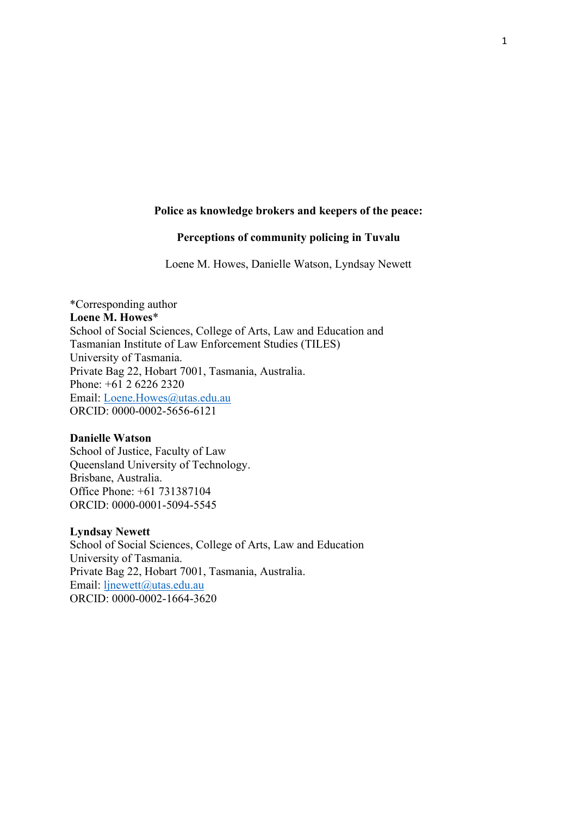# **Police as knowledge brokers and keepers of the peace:**

# **Perceptions of community policing in Tuvalu**

Loene M. Howes, Danielle Watson, Lyndsay Newett

\*Corresponding author **Loene M. Howes**\* School of Social Sciences, College of Arts, Law and Education and Tasmanian Institute of Law Enforcement Studies (TILES) University of Tasmania. Private Bag 22, Hobart 7001, Tasmania, Australia. Phone: +61 2 6226 2320 Email: [Loene.Howes@utas.edu.au](mailto:Loene.Howes@utas.edu.au) ORCID: 0000-0002-5656-6121

#### **Danielle Watson**

School of Justice, Faculty of Law Queensland University of Technology. Brisbane, Australia. Office Phone: +61 731387104 ORCID: 0000-0001-5094-5545

# **Lyndsay Newett**

School of Social Sciences, College of Arts, Law and Education University of Tasmania. Private Bag 22, Hobart 7001, Tasmania, Australia. Email: linewett@utas.edu.au ORCID: 0000-0002-1664-3620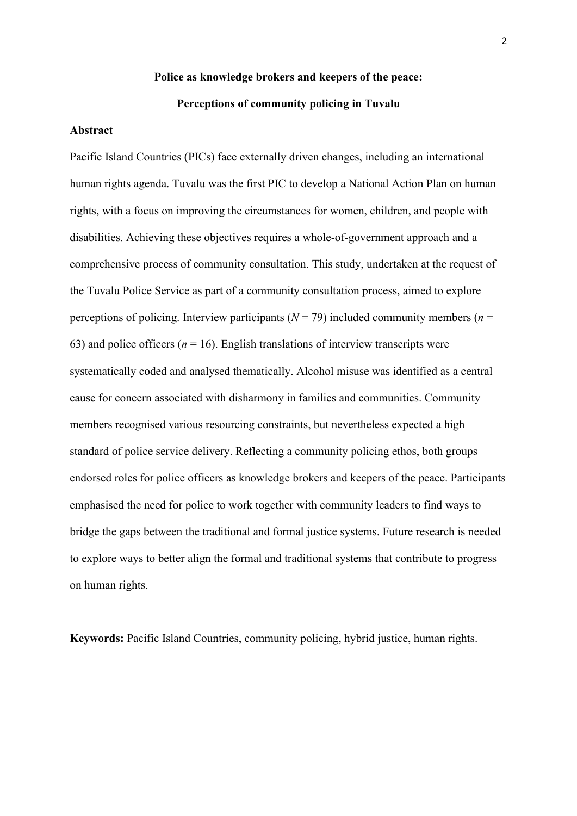# **Police as knowledge brokers and keepers of the peace: Perceptions of community policing in Tuvalu**

#### **Abstract**

Pacific Island Countries (PICs) face externally driven changes, including an international human rights agenda. Tuvalu was the first PIC to develop a National Action Plan on human rights, with a focus on improving the circumstances for women, children, and people with disabilities. Achieving these objectives requires a whole-of-government approach and a comprehensive process of community consultation. This study, undertaken at the request of the Tuvalu Police Service as part of a community consultation process, aimed to explore perceptions of policing. Interview participants ( $N = 79$ ) included community members ( $n =$ 63) and police officers ( $n = 16$ ). English translations of interview transcripts were systematically coded and analysed thematically. Alcohol misuse was identified as a central cause for concern associated with disharmony in families and communities. Community members recognised various resourcing constraints, but nevertheless expected a high standard of police service delivery. Reflecting a community policing ethos, both groups endorsed roles for police officers as knowledge brokers and keepers of the peace. Participants emphasised the need for police to work together with community leaders to find ways to bridge the gaps between the traditional and formal justice systems. Future research is needed to explore ways to better align the formal and traditional systems that contribute to progress on human rights.

**Keywords:** Pacific Island Countries, community policing, hybrid justice, human rights.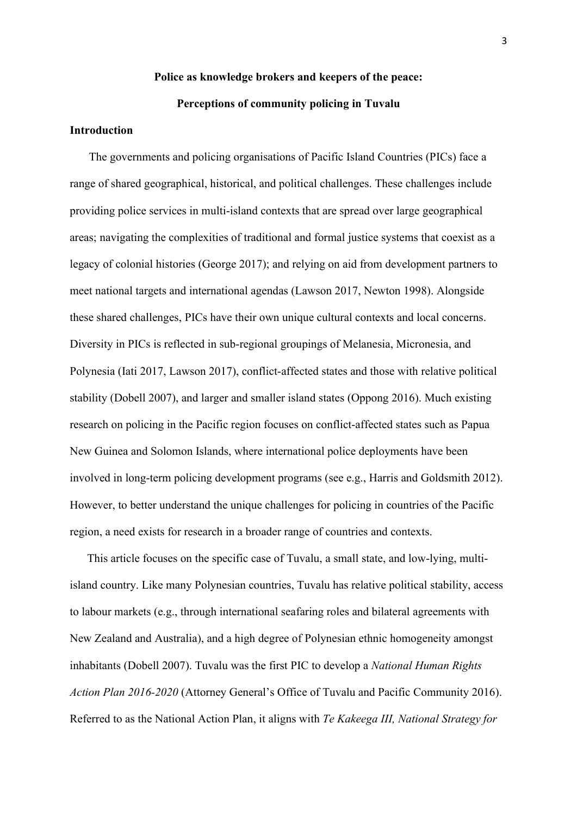# **Police as knowledge brokers and keepers of the peace: Perceptions of community policing in Tuvalu**

#### **Introduction**

The governments and policing organisations of Pacific Island Countries (PICs) face a range of shared geographical, historical, and political challenges. These challenges include providing police services in multi-island contexts that are spread over large geographical areas; navigating the complexities of traditional and formal justice systems that coexist as a legacy of colonial histories (George 2017); and relying on aid from development partners to meet national targets and international agendas (Lawson 2017, Newton 1998). Alongside these shared challenges, PICs have their own unique cultural contexts and local concerns. Diversity in PICs is reflected in sub-regional groupings of Melanesia, Micronesia, and Polynesia (Iati 2017, Lawson 2017), conflict-affected states and those with relative political stability (Dobell 2007), and larger and smaller island states (Oppong 2016). Much existing research on policing in the Pacific region focuses on conflict-affected states such as Papua New Guinea and Solomon Islands, where international police deployments have been involved in long-term policing development programs (see e.g., Harris and Goldsmith 2012). However, to better understand the unique challenges for policing in countries of the Pacific region, a need exists for research in a broader range of countries and contexts.

This article focuses on the specific case of Tuvalu, a small state, and low-lying, multiisland country. Like many Polynesian countries, Tuvalu has relative political stability, access to labour markets (e.g., through international seafaring roles and bilateral agreements with New Zealand and Australia), and a high degree of Polynesian ethnic homogeneity amongst inhabitants (Dobell 2007). Tuvalu was the first PIC to develop a *National Human Rights Action Plan 2016-2020* (Attorney General's Office of Tuvalu and Pacific Community 2016). Referred to as the National Action Plan, it aligns with *Te Kakeega III, National Strategy for*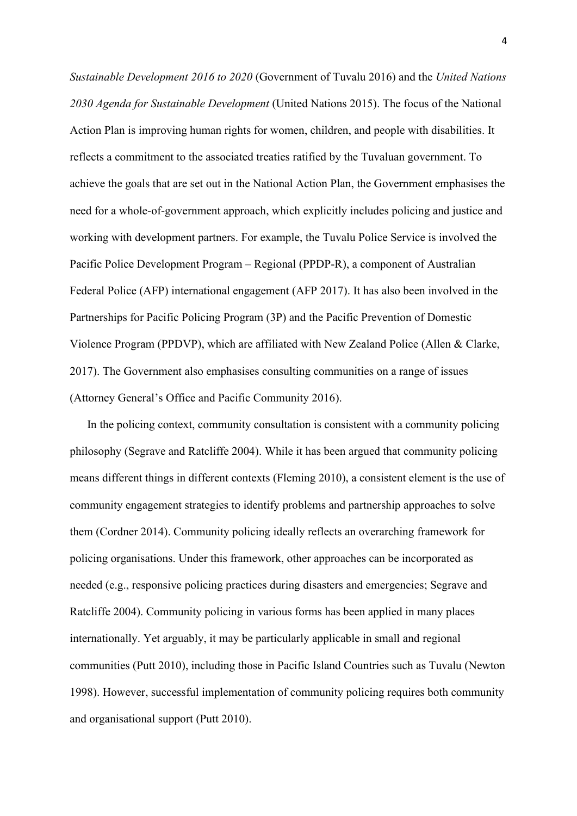*Sustainable Development 2016 to 2020* (Government of Tuvalu 2016) and the *United Nations 2030 Agenda for Sustainable Development* (United Nations 2015). The focus of the National Action Plan is improving human rights for women, children, and people with disabilities. It reflects a commitment to the associated treaties ratified by the Tuvaluan government. To achieve the goals that are set out in the National Action Plan, the Government emphasises the need for a whole-of-government approach, which explicitly includes policing and justice and working with development partners. For example, the Tuvalu Police Service is involved the Pacific Police Development Program – Regional (PPDP-R), a component of Australian Federal Police (AFP) international engagement (AFP 2017). It has also been involved in the Partnerships for Pacific Policing Program (3P) and the Pacific Prevention of Domestic Violence Program (PPDVP), which are affiliated with New Zealand Police (Allen & Clarke, 2017). The Government also emphasises consulting communities on a range of issues (Attorney General's Office and Pacific Community 2016).

In the policing context, community consultation is consistent with a community policing philosophy (Segrave and Ratcliffe 2004). While it has been argued that community policing means different things in different contexts (Fleming 2010), a consistent element is the use of community engagement strategies to identify problems and partnership approaches to solve them (Cordner 2014). Community policing ideally reflects an overarching framework for policing organisations. Under this framework, other approaches can be incorporated as needed (e.g., responsive policing practices during disasters and emergencies; Segrave and Ratcliffe 2004). Community policing in various forms has been applied in many places internationally. Yet arguably, it may be particularly applicable in small and regional communities (Putt 2010), including those in Pacific Island Countries such as Tuvalu (Newton 1998). However, successful implementation of community policing requires both community and organisational support (Putt 2010).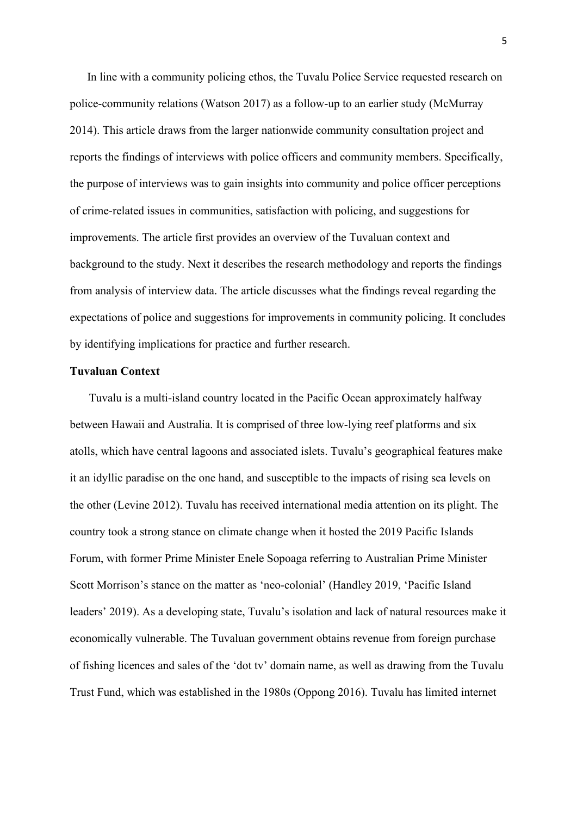In line with a community policing ethos, the Tuvalu Police Service requested research on police-community relations (Watson 2017) as a follow-up to an earlier study (McMurray 2014). This article draws from the larger nationwide community consultation project and reports the findings of interviews with police officers and community members. Specifically, the purpose of interviews was to gain insights into community and police officer perceptions of crime-related issues in communities, satisfaction with policing, and suggestions for improvements. The article first provides an overview of the Tuvaluan context and background to the study. Next it describes the research methodology and reports the findings from analysis of interview data. The article discusses what the findings reveal regarding the expectations of police and suggestions for improvements in community policing. It concludes by identifying implications for practice and further research.

# **Tuvaluan Context**

Tuvalu is a multi-island country located in the Pacific Ocean approximately halfway between Hawaii and Australia. It is comprised of three low-lying reef platforms and six atolls, which have central lagoons and associated islets. Tuvalu's geographical features make it an idyllic paradise on the one hand, and susceptible to the impacts of rising sea levels on the other (Levine 2012). Tuvalu has received international media attention on its plight. The country took a strong stance on climate change when it hosted the 2019 Pacific Islands Forum, with former Prime Minister Enele Sopoaga referring to Australian Prime Minister Scott Morrison's stance on the matter as 'neo-colonial' (Handley 2019, 'Pacific Island leaders' 2019). As a developing state, Tuvalu's isolation and lack of natural resources make it economically vulnerable. The Tuvaluan government obtains revenue from foreign purchase of fishing licences and sales of the 'dot tv' domain name, as well as drawing from the Tuvalu Trust Fund, which was established in the 1980s (Oppong 2016). Tuvalu has limited internet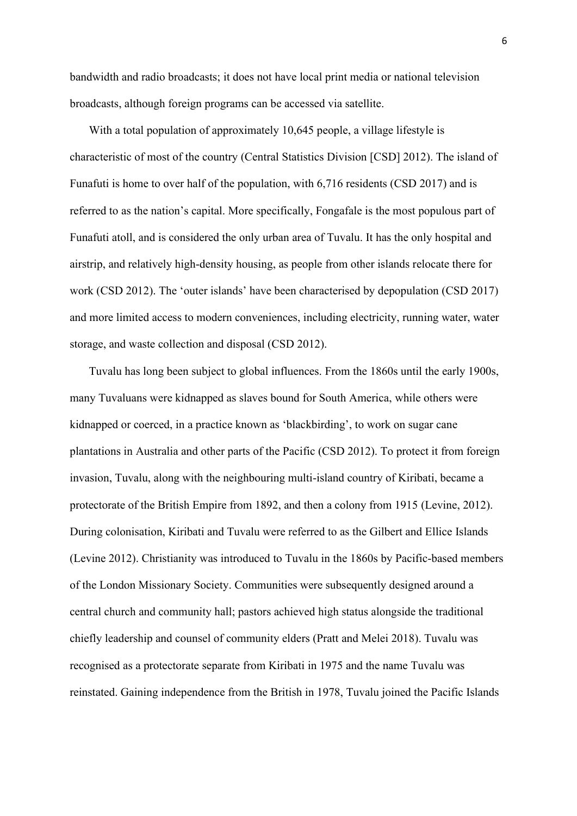bandwidth and radio broadcasts; it does not have local print media or national television broadcasts, although foreign programs can be accessed via satellite.

With a total population of approximately 10,645 people, a village lifestyle is characteristic of most of the country (Central Statistics Division [CSD] 2012). The island of Funafuti is home to over half of the population, with 6,716 residents (CSD 2017) and is referred to as the nation's capital. More specifically, Fongafale is the most populous part of Funafuti atoll, and is considered the only urban area of Tuvalu. It has the only hospital and airstrip, and relatively high-density housing, as people from other islands relocate there for work (CSD 2012). The 'outer islands' have been characterised by depopulation (CSD 2017) and more limited access to modern conveniences, including electricity, running water, water storage, and waste collection and disposal (CSD 2012).

Tuvalu has long been subject to global influences. From the 1860s until the early 1900s, many Tuvaluans were kidnapped as slaves bound for South America, while others were kidnapped or coerced, in a practice known as 'blackbirding', to work on sugar cane plantations in Australia and other parts of the Pacific (CSD 2012). To protect it from foreign invasion, Tuvalu, along with the neighbouring multi-island country of Kiribati, became a protectorate of the British Empire from 1892, and then a colony from 1915 (Levine, 2012). During colonisation, Kiribati and Tuvalu were referred to as the Gilbert and Ellice Islands (Levine 2012). Christianity was introduced to Tuvalu in the 1860s by Pacific-based members of the London Missionary Society. Communities were subsequently designed around a central church and community hall; pastors achieved high status alongside the traditional chiefly leadership and counsel of community elders (Pratt and Melei 2018). Tuvalu was recognised as a protectorate separate from Kiribati in 1975 and the name Tuvalu was reinstated. Gaining independence from the British in 1978, Tuvalu joined the Pacific Islands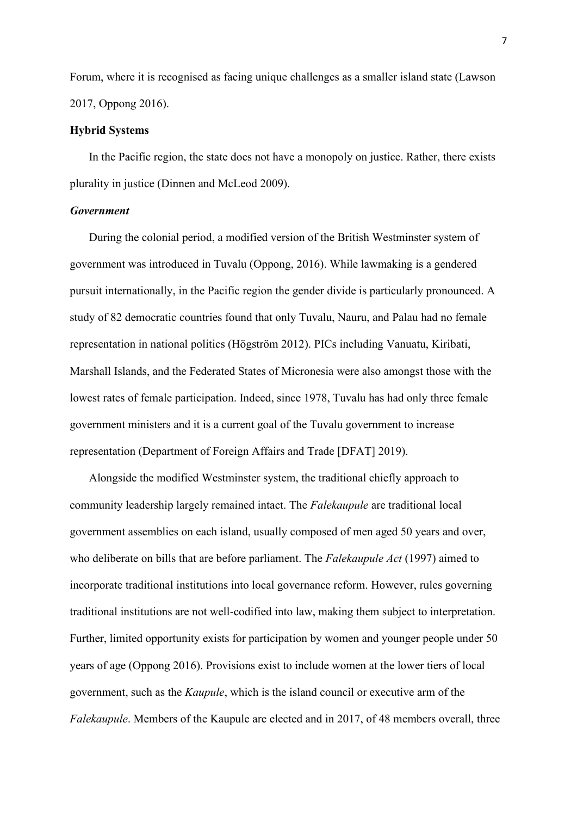Forum, where it is recognised as facing unique challenges as a smaller island state (Lawson 2017, Oppong 2016).

# **Hybrid Systems**

In the Pacific region, the state does not have a monopoly on justice. Rather, there exists plurality in justice (Dinnen and McLeod 2009).

# *Government*

During the colonial period, a modified version of the British Westminster system of government was introduced in Tuvalu (Oppong, 2016). While lawmaking is a gendered pursuit internationally, in the Pacific region the gender divide is particularly pronounced. A study of 82 democratic countries found that only Tuvalu, Nauru, and Palau had no female representation in national politics (Högström 2012). PICs including Vanuatu, Kiribati, Marshall Islands, and the Federated States of Micronesia were also amongst those with the lowest rates of female participation. Indeed, since 1978, Tuvalu has had only three female government ministers and it is a current goal of the Tuvalu government to increase representation (Department of Foreign Affairs and Trade [DFAT] 2019).

Alongside the modified Westminster system, the traditional chiefly approach to community leadership largely remained intact. The *Falekaupule* are traditional local government assemblies on each island, usually composed of men aged 50 years and over, who deliberate on bills that are before parliament. The *Falekaupule Act* (1997) aimed to incorporate traditional institutions into local governance reform. However, rules governing traditional institutions are not well-codified into law, making them subject to interpretation. Further, limited opportunity exists for participation by women and younger people under 50 years of age (Oppong 2016). Provisions exist to include women at the lower tiers of local government, such as the *Kaupule*, which is the island council or executive arm of the *Falekaupule*. Members of the Kaupule are elected and in 2017, of 48 members overall, three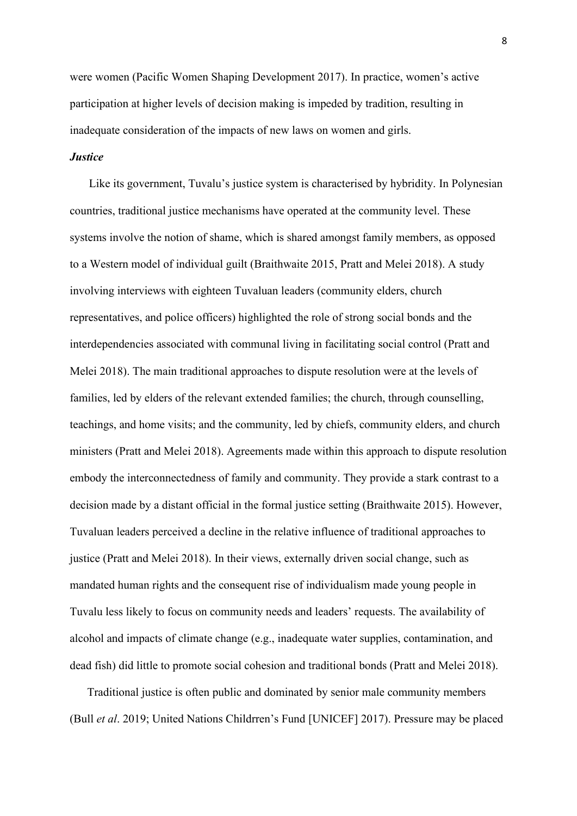were women (Pacific Women Shaping Development 2017). In practice, women's active participation at higher levels of decision making is impeded by tradition, resulting in inadequate consideration of the impacts of new laws on women and girls.

# *Justice*

Like its government, Tuvalu's justice system is characterised by hybridity. In Polynesian countries, traditional justice mechanisms have operated at the community level. These systems involve the notion of shame, which is shared amongst family members, as opposed to a Western model of individual guilt (Braithwaite 2015, Pratt and Melei 2018). A study involving interviews with eighteen Tuvaluan leaders (community elders, church representatives, and police officers) highlighted the role of strong social bonds and the interdependencies associated with communal living in facilitating social control (Pratt and Melei 2018). The main traditional approaches to dispute resolution were at the levels of families, led by elders of the relevant extended families; the church, through counselling, teachings, and home visits; and the community, led by chiefs, community elders, and church ministers (Pratt and Melei 2018). Agreements made within this approach to dispute resolution embody the interconnectedness of family and community. They provide a stark contrast to a decision made by a distant official in the formal justice setting (Braithwaite 2015). However, Tuvaluan leaders perceived a decline in the relative influence of traditional approaches to justice (Pratt and Melei 2018). In their views, externally driven social change, such as mandated human rights and the consequent rise of individualism made young people in Tuvalu less likely to focus on community needs and leaders' requests. The availability of alcohol and impacts of climate change (e.g., inadequate water supplies, contamination, and dead fish) did little to promote social cohesion and traditional bonds (Pratt and Melei 2018).

Traditional justice is often public and dominated by senior male community members (Bull *et al*. 2019; United Nations Childrren's Fund [UNICEF] 2017). Pressure may be placed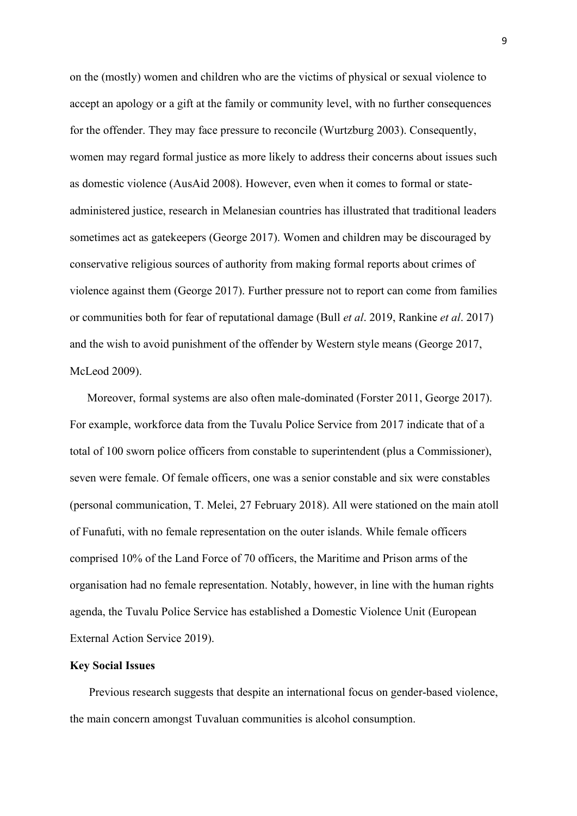on the (mostly) women and children who are the victims of physical or sexual violence to accept an apology or a gift at the family or community level, with no further consequences for the offender. They may face pressure to reconcile (Wurtzburg 2003). Consequently, women may regard formal justice as more likely to address their concerns about issues such as domestic violence (AusAid 2008). However, even when it comes to formal or stateadministered justice, research in Melanesian countries has illustrated that traditional leaders sometimes act as gatekeepers (George 2017). Women and children may be discouraged by conservative religious sources of authority from making formal reports about crimes of violence against them (George 2017). Further pressure not to report can come from families or communities both for fear of reputational damage (Bull *et al*. 2019, Rankine *et al*. 2017) and the wish to avoid punishment of the offender by Western style means (George 2017, McLeod 2009).

Moreover, formal systems are also often male-dominated (Forster 2011, George 2017). For example, workforce data from the Tuvalu Police Service from 2017 indicate that of a total of 100 sworn police officers from constable to superintendent (plus a Commissioner), seven were female. Of female officers, one was a senior constable and six were constables (personal communication, T. Melei, 27 February 2018). All were stationed on the main atoll of Funafuti, with no female representation on the outer islands. While female officers comprised 10% of the Land Force of 70 officers, the Maritime and Prison arms of the organisation had no female representation. Notably, however, in line with the human rights agenda, the Tuvalu Police Service has established a Domestic Violence Unit (European External Action Service 2019).

### **Key Social Issues**

Previous research suggests that despite an international focus on gender-based violence, the main concern amongst Tuvaluan communities is alcohol consumption.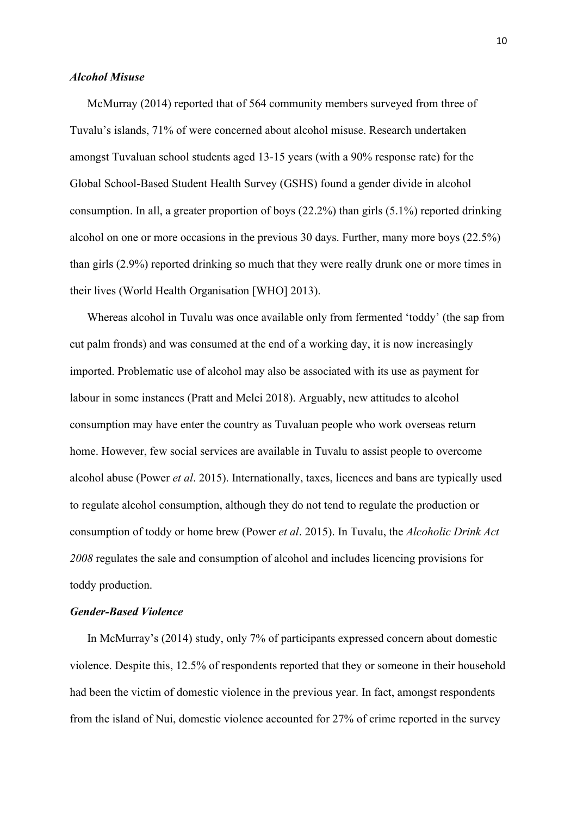# *Alcohol Misuse*

McMurray (2014) reported that of 564 community members surveyed from three of Tuvalu's islands, 71% of were concerned about alcohol misuse. Research undertaken amongst Tuvaluan school students aged 13-15 years (with a 90% response rate) for the Global School-Based Student Health Survey (GSHS) found a gender divide in alcohol consumption. In all, a greater proportion of boys (22.2%) than girls (5.1%) reported drinking alcohol on one or more occasions in the previous 30 days. Further, many more boys (22.5%) than girls (2.9%) reported drinking so much that they were really drunk one or more times in their lives (World Health Organisation [WHO] 2013).

Whereas alcohol in Tuvalu was once available only from fermented 'toddy' (the sap from cut palm fronds) and was consumed at the end of a working day, it is now increasingly imported. Problematic use of alcohol may also be associated with its use as payment for labour in some instances (Pratt and Melei 2018). Arguably, new attitudes to alcohol consumption may have enter the country as Tuvaluan people who work overseas return home. However, few social services are available in Tuvalu to assist people to overcome alcohol abuse (Power *et al*. 2015). Internationally, taxes, licences and bans are typically used to regulate alcohol consumption, although they do not tend to regulate the production or consumption of toddy or home brew (Power *et al*. 2015). In Tuvalu, the *Alcoholic Drink Act 2008* regulates the sale and consumption of alcohol and includes licencing provisions for toddy production.

# *Gender-Based Violence*

In McMurray's (2014) study, only 7% of participants expressed concern about domestic violence. Despite this, 12.5% of respondents reported that they or someone in their household had been the victim of domestic violence in the previous year. In fact, amongst respondents from the island of Nui, domestic violence accounted for 27% of crime reported in the survey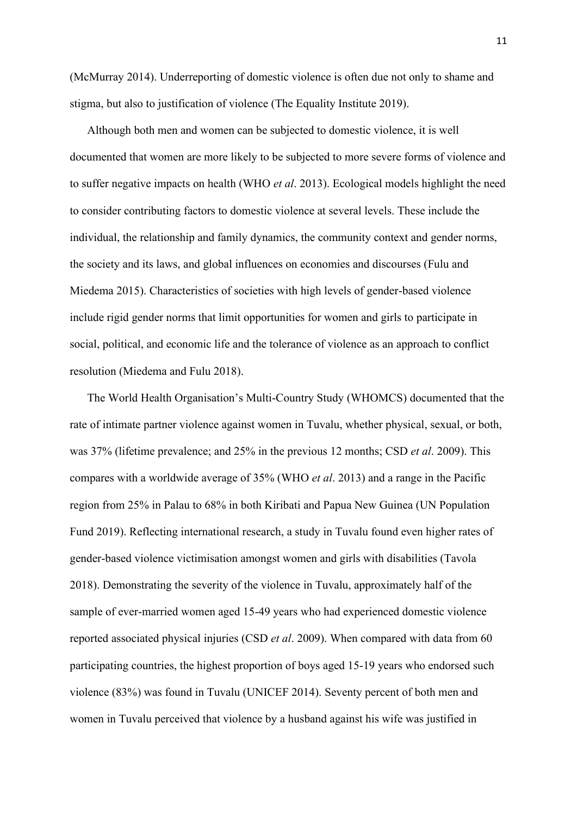(McMurray 2014). Underreporting of domestic violence is often due not only to shame and stigma, but also to justification of violence (The Equality Institute 2019).

Although both men and women can be subjected to domestic violence, it is well documented that women are more likely to be subjected to more severe forms of violence and to suffer negative impacts on health (WHO *et al*. 2013). Ecological models highlight the need to consider contributing factors to domestic violence at several levels. These include the individual, the relationship and family dynamics, the community context and gender norms, the society and its laws, and global influences on economies and discourses (Fulu and Miedema 2015). Characteristics of societies with high levels of gender-based violence include rigid gender norms that limit opportunities for women and girls to participate in social, political, and economic life and the tolerance of violence as an approach to conflict resolution (Miedema and Fulu 2018).

The World Health Organisation's Multi-Country Study (WHOMCS) documented that the rate of intimate partner violence against women in Tuvalu, whether physical, sexual, or both, was 37% (lifetime prevalence; and 25% in the previous 12 months; CSD *et al*. 2009). This compares with a worldwide average of 35% (WHO *et al*. 2013) and a range in the Pacific region from 25% in Palau to 68% in both Kiribati and Papua New Guinea (UN Population Fund 2019). Reflecting international research, a study in Tuvalu found even higher rates of gender-based violence victimisation amongst women and girls with disabilities (Tavola 2018). Demonstrating the severity of the violence in Tuvalu, approximately half of the sample of ever-married women aged 15-49 years who had experienced domestic violence reported associated physical injuries (CSD *et al*. 2009). When compared with data from 60 participating countries, the highest proportion of boys aged 15-19 years who endorsed such violence (83%) was found in Tuvalu (UNICEF 2014). Seventy percent of both men and women in Tuvalu perceived that violence by a husband against his wife was justified in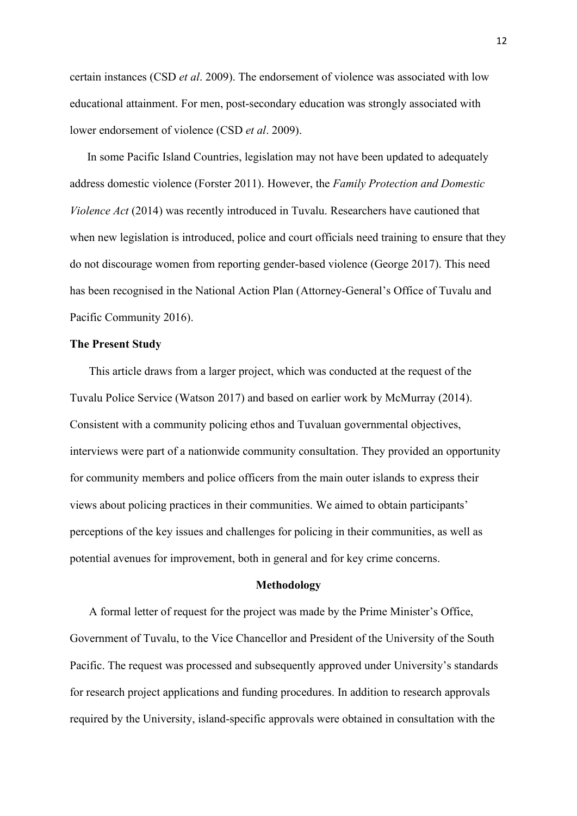certain instances (CSD *et al*. 2009). The endorsement of violence was associated with low educational attainment. For men, post-secondary education was strongly associated with lower endorsement of violence (CSD *et al*. 2009).

In some Pacific Island Countries, legislation may not have been updated to adequately address domestic violence (Forster 2011). However, the *Family Protection and Domestic Violence Act* (2014) was recently introduced in Tuvalu. Researchers have cautioned that when new legislation is introduced, police and court officials need training to ensure that they do not discourage women from reporting gender-based violence (George 2017). This need has been recognised in the National Action Plan (Attorney-General's Office of Tuvalu and Pacific Community 2016).

# **The Present Study**

This article draws from a larger project, which was conducted at the request of the Tuvalu Police Service (Watson 2017) and based on earlier work by McMurray (2014). Consistent with a community policing ethos and Tuvaluan governmental objectives, interviews were part of a nationwide community consultation. They provided an opportunity for community members and police officers from the main outer islands to express their views about policing practices in their communities. We aimed to obtain participants' perceptions of the key issues and challenges for policing in their communities, as well as potential avenues for improvement, both in general and for key crime concerns.

#### **Methodology**

A formal letter of request for the project was made by the Prime Minister's Office, Government of Tuvalu, to the Vice Chancellor and President of the University of the South Pacific. The request was processed and subsequently approved under University's standards for research project applications and funding procedures. In addition to research approvals required by the University, island-specific approvals were obtained in consultation with the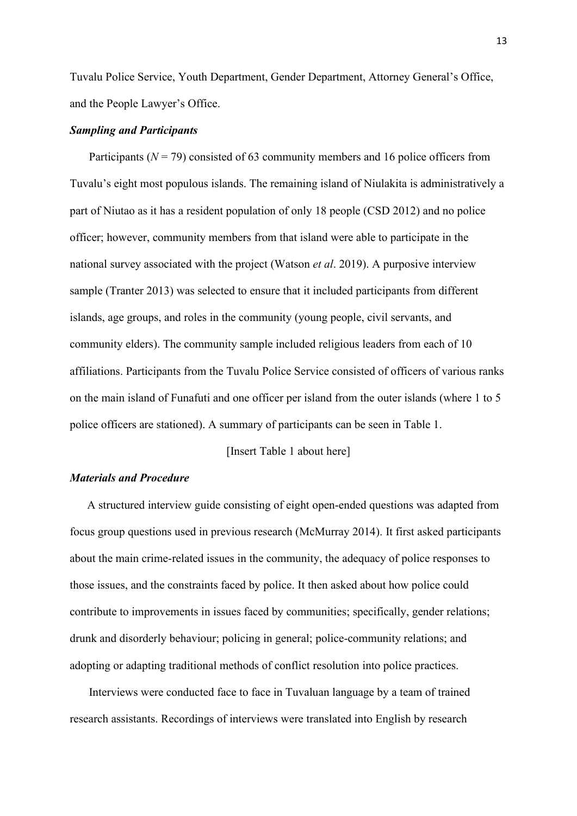Tuvalu Police Service, Youth Department, Gender Department, Attorney General's Office, and the People Lawyer's Office.

# *Sampling and Participants*

Participants ( $N = 79$ ) consisted of 63 community members and 16 police officers from Tuvalu's eight most populous islands. The remaining island of Niulakita is administratively a part of Niutao as it has a resident population of only 18 people (CSD 2012) and no police officer; however, community members from that island were able to participate in the national survey associated with the project (Watson *et al*. 2019). A purposive interview sample (Tranter 2013) was selected to ensure that it included participants from different islands, age groups, and roles in the community (young people, civil servants, and community elders). The community sample included religious leaders from each of 10 affiliations. Participants from the Tuvalu Police Service consisted of officers of various ranks on the main island of Funafuti and one officer per island from the outer islands (where 1 to 5 police officers are stationed). A summary of participants can be seen in Table 1.

[Insert Table 1 about here]

# *Materials and Procedure*

A structured interview guide consisting of eight open-ended questions was adapted from focus group questions used in previous research (McMurray 2014). It first asked participants about the main crime-related issues in the community, the adequacy of police responses to those issues, and the constraints faced by police. It then asked about how police could contribute to improvements in issues faced by communities; specifically, gender relations; drunk and disorderly behaviour; policing in general; police-community relations; and adopting or adapting traditional methods of conflict resolution into police practices.

Interviews were conducted face to face in Tuvaluan language by a team of trained research assistants. Recordings of interviews were translated into English by research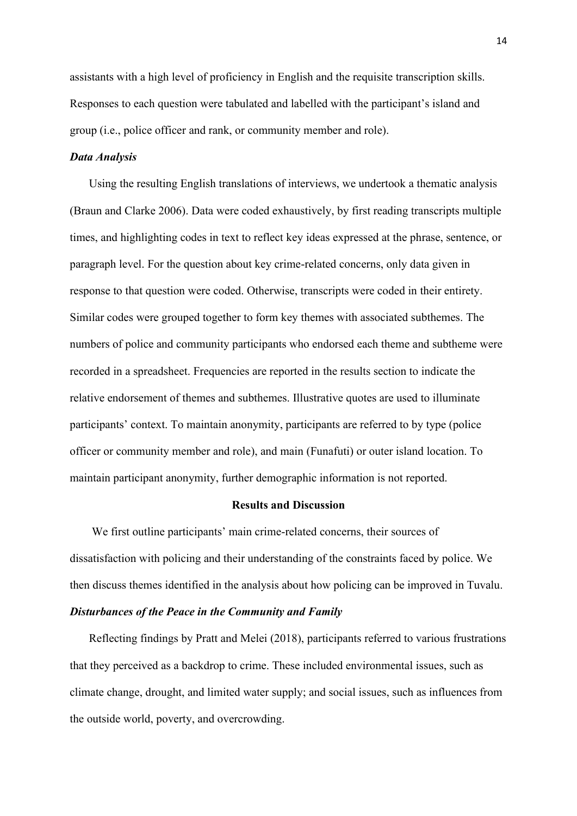assistants with a high level of proficiency in English and the requisite transcription skills. Responses to each question were tabulated and labelled with the participant's island and group (i.e., police officer and rank, or community member and role).

#### *Data Analysis*

Using the resulting English translations of interviews, we undertook a thematic analysis (Braun and Clarke 2006). Data were coded exhaustively, by first reading transcripts multiple times, and highlighting codes in text to reflect key ideas expressed at the phrase, sentence, or paragraph level. For the question about key crime-related concerns, only data given in response to that question were coded. Otherwise, transcripts were coded in their entirety. Similar codes were grouped together to form key themes with associated subthemes. The numbers of police and community participants who endorsed each theme and subtheme were recorded in a spreadsheet. Frequencies are reported in the results section to indicate the relative endorsement of themes and subthemes. Illustrative quotes are used to illuminate participants' context. To maintain anonymity, participants are referred to by type (police officer or community member and role), and main (Funafuti) or outer island location. To maintain participant anonymity, further demographic information is not reported.

# **Results and Discussion**

We first outline participants' main crime-related concerns, their sources of dissatisfaction with policing and their understanding of the constraints faced by police. We then discuss themes identified in the analysis about how policing can be improved in Tuvalu. *Disturbances of the Peace in the Community and Family*

# Reflecting findings by Pratt and Melei (2018), participants referred to various frustrations that they perceived as a backdrop to crime. These included environmental issues, such as climate change, drought, and limited water supply; and social issues, such as influences from the outside world, poverty, and overcrowding.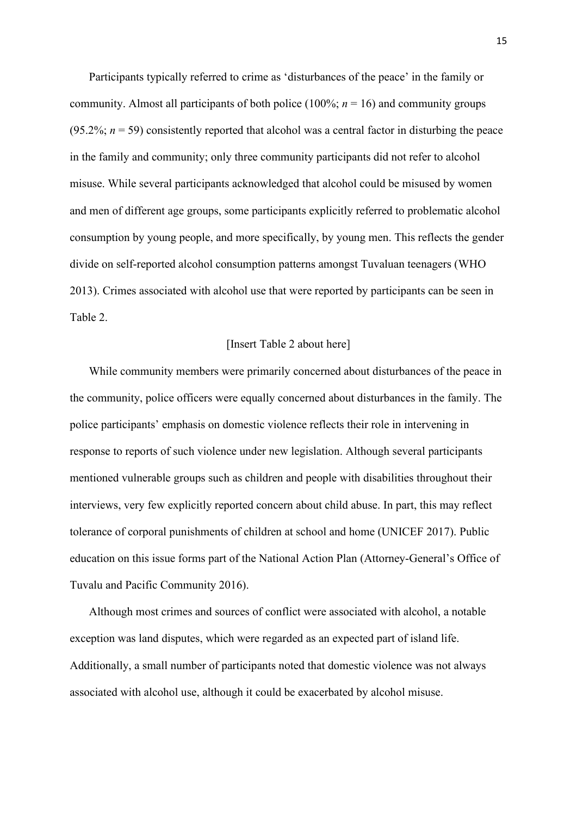Participants typically referred to crime as 'disturbances of the peace' in the family or community. Almost all participants of both police (100%; *n* = 16) and community groups  $(95.2\%; n = 59)$  consistently reported that alcohol was a central factor in disturbing the peace in the family and community; only three community participants did not refer to alcohol misuse. While several participants acknowledged that alcohol could be misused by women and men of different age groups, some participants explicitly referred to problematic alcohol consumption by young people, and more specifically, by young men. This reflects the gender divide on self-reported alcohol consumption patterns amongst Tuvaluan teenagers (WHO 2013). Crimes associated with alcohol use that were reported by participants can be seen in Table 2.

# [Insert Table 2 about here]

While community members were primarily concerned about disturbances of the peace in the community, police officers were equally concerned about disturbances in the family. The police participants' emphasis on domestic violence reflects their role in intervening in response to reports of such violence under new legislation. Although several participants mentioned vulnerable groups such as children and people with disabilities throughout their interviews, very few explicitly reported concern about child abuse. In part, this may reflect tolerance of corporal punishments of children at school and home (UNICEF 2017). Public education on this issue forms part of the National Action Plan (Attorney-General's Office of Tuvalu and Pacific Community 2016).

Although most crimes and sources of conflict were associated with alcohol, a notable exception was land disputes, which were regarded as an expected part of island life. Additionally, a small number of participants noted that domestic violence was not always associated with alcohol use, although it could be exacerbated by alcohol misuse.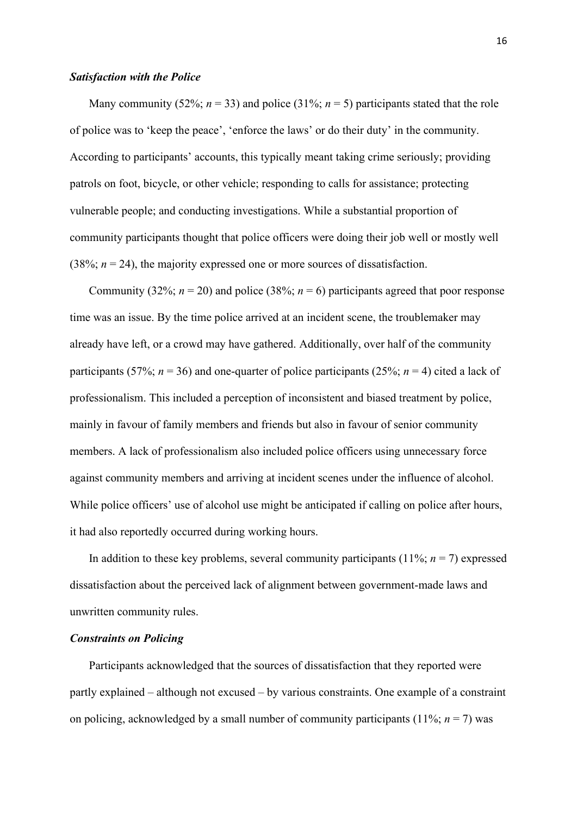#### *Satisfaction with the Police*

Many community (52%;  $n = 33$ ) and police (31%;  $n = 5$ ) participants stated that the role of police was to 'keep the peace', 'enforce the laws' or do their duty' in the community. According to participants' accounts, this typically meant taking crime seriously; providing patrols on foot, bicycle, or other vehicle; responding to calls for assistance; protecting vulnerable people; and conducting investigations. While a substantial proportion of community participants thought that police officers were doing their job well or mostly well (38%;  $n = 24$ ), the majority expressed one or more sources of dissatisfaction.

Community (32%;  $n = 20$ ) and police (38%;  $n = 6$ ) participants agreed that poor response time was an issue. By the time police arrived at an incident scene, the troublemaker may already have left, or a crowd may have gathered. Additionally, over half of the community participants (57%;  $n = 36$ ) and one-quarter of police participants (25%;  $n = 4$ ) cited a lack of professionalism. This included a perception of inconsistent and biased treatment by police, mainly in favour of family members and friends but also in favour of senior community members. A lack of professionalism also included police officers using unnecessary force against community members and arriving at incident scenes under the influence of alcohol. While police officers' use of alcohol use might be anticipated if calling on police after hours, it had also reportedly occurred during working hours.

In addition to these key problems, several community participants  $(11\%; n = 7)$  expressed dissatisfaction about the perceived lack of alignment between government-made laws and unwritten community rules.

# *Constraints on Policing*

Participants acknowledged that the sources of dissatisfaction that they reported were partly explained – although not excused – by various constraints. One example of a constraint on policing, acknowledged by a small number of community participants  $(11\%; n = 7)$  was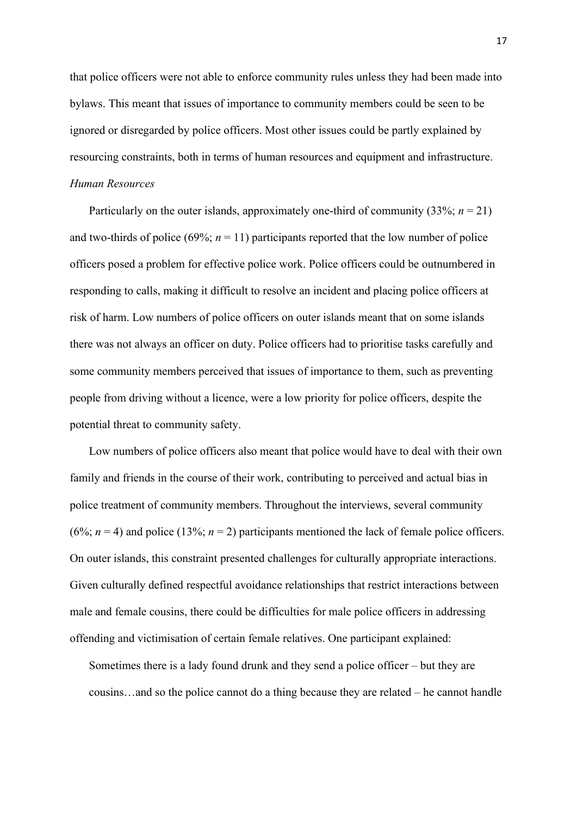that police officers were not able to enforce community rules unless they had been made into bylaws. This meant that issues of importance to community members could be seen to be ignored or disregarded by police officers. Most other issues could be partly explained by resourcing constraints, both in terms of human resources and equipment and infrastructure. *Human Resources* 

Particularly on the outer islands, approximately one-third of community  $(33\%; n = 21)$ and two-thirds of police (69%;  $n = 11$ ) participants reported that the low number of police officers posed a problem for effective police work. Police officers could be outnumbered in responding to calls, making it difficult to resolve an incident and placing police officers at risk of harm. Low numbers of police officers on outer islands meant that on some islands there was not always an officer on duty. Police officers had to prioritise tasks carefully and some community members perceived that issues of importance to them, such as preventing people from driving without a licence, were a low priority for police officers, despite the potential threat to community safety.

Low numbers of police officers also meant that police would have to deal with their own family and friends in the course of their work, contributing to perceived and actual bias in police treatment of community members. Throughout the interviews, several community (6%;  $n = 4$ ) and police (13%;  $n = 2$ ) participants mentioned the lack of female police officers. On outer islands, this constraint presented challenges for culturally appropriate interactions. Given culturally defined respectful avoidance relationships that restrict interactions between male and female cousins, there could be difficulties for male police officers in addressing offending and victimisation of certain female relatives. One participant explained:

Sometimes there is a lady found drunk and they send a police officer – but they are cousins…and so the police cannot do a thing because they are related – he cannot handle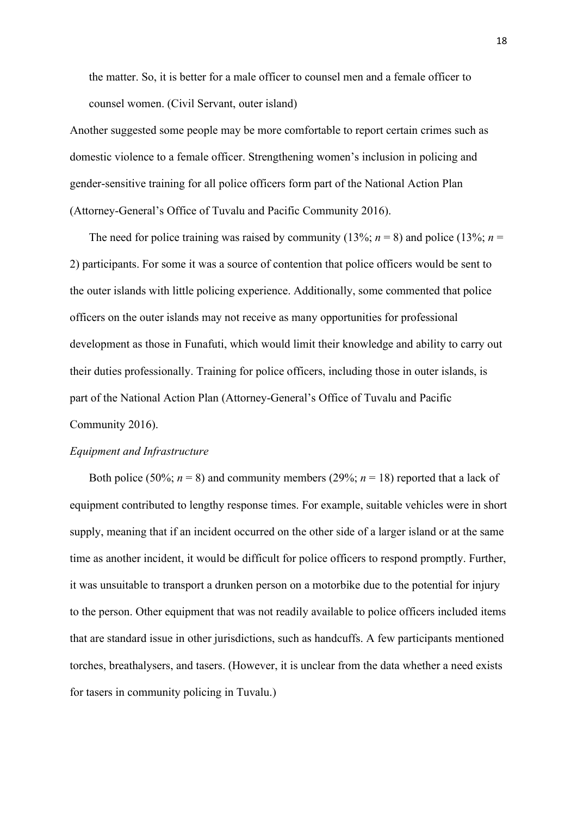the matter. So, it is better for a male officer to counsel men and a female officer to counsel women. (Civil Servant, outer island)

Another suggested some people may be more comfortable to report certain crimes such as domestic violence to a female officer. Strengthening women's inclusion in policing and gender-sensitive training for all police officers form part of the National Action Plan (Attorney-General's Office of Tuvalu and Pacific Community 2016).

The need for police training was raised by community (13%;  $n = 8$ ) and police (13%;  $n =$ 2) participants. For some it was a source of contention that police officers would be sent to the outer islands with little policing experience. Additionally, some commented that police officers on the outer islands may not receive as many opportunities for professional development as those in Funafuti, which would limit their knowledge and ability to carry out their duties professionally. Training for police officers, including those in outer islands, is part of the National Action Plan (Attorney-General's Office of Tuvalu and Pacific Community 2016).

# *Equipment and Infrastructure*

Both police (50%;  $n = 8$ ) and community members (29%;  $n = 18$ ) reported that a lack of equipment contributed to lengthy response times. For example, suitable vehicles were in short supply, meaning that if an incident occurred on the other side of a larger island or at the same time as another incident, it would be difficult for police officers to respond promptly. Further, it was unsuitable to transport a drunken person on a motorbike due to the potential for injury to the person. Other equipment that was not readily available to police officers included items that are standard issue in other jurisdictions, such as handcuffs. A few participants mentioned torches, breathalysers, and tasers. (However, it is unclear from the data whether a need exists for tasers in community policing in Tuvalu.)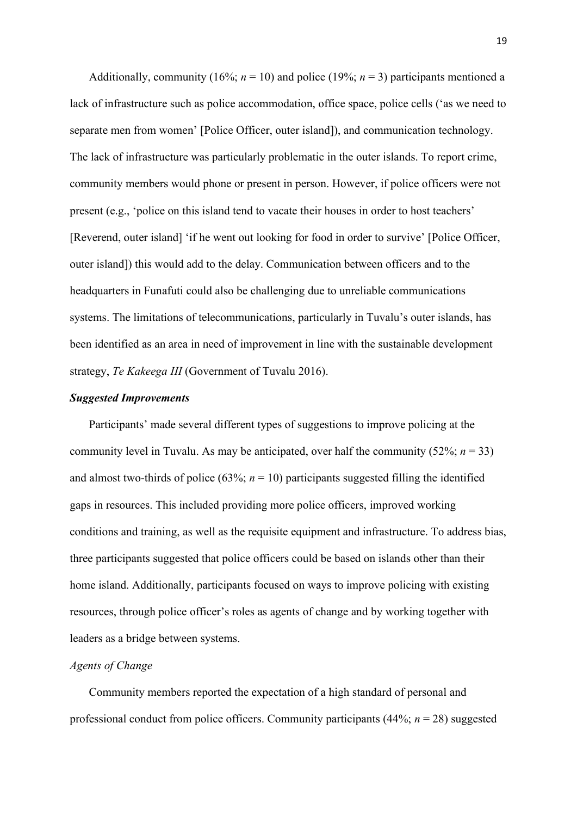Additionally, community (16%;  $n = 10$ ) and police (19%;  $n = 3$ ) participants mentioned a lack of infrastructure such as police accommodation, office space, police cells ('as we need to separate men from women' [Police Officer, outer island]), and communication technology. The lack of infrastructure was particularly problematic in the outer islands. To report crime, community members would phone or present in person. However, if police officers were not present (e.g., 'police on this island tend to vacate their houses in order to host teachers' [Reverend, outer island] 'if he went out looking for food in order to survive' [Police Officer, outer island]) this would add to the delay. Communication between officers and to the headquarters in Funafuti could also be challenging due to unreliable communications systems. The limitations of telecommunications, particularly in Tuvalu's outer islands, has been identified as an area in need of improvement in line with the sustainable development strategy, *Te Kakeega III* (Government of Tuvalu 2016).

# *Suggested Improvements*

Participants' made several different types of suggestions to improve policing at the community level in Tuvalu. As may be anticipated, over half the community  $(52\%; n = 33)$ and almost two-thirds of police  $(63\%; n = 10)$  participants suggested filling the identified gaps in resources. This included providing more police officers, improved working conditions and training, as well as the requisite equipment and infrastructure. To address bias, three participants suggested that police officers could be based on islands other than their home island. Additionally, participants focused on ways to improve policing with existing resources, through police officer's roles as agents of change and by working together with leaders as a bridge between systems.

# *Agents of Change*

Community members reported the expectation of a high standard of personal and professional conduct from police officers. Community participants (44%; *n* = 28) suggested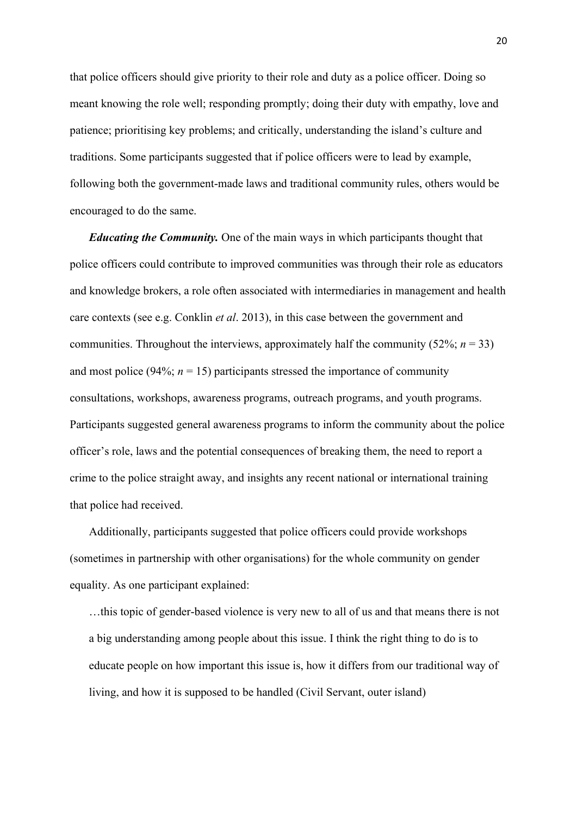that police officers should give priority to their role and duty as a police officer. Doing so meant knowing the role well; responding promptly; doing their duty with empathy, love and patience; prioritising key problems; and critically, understanding the island's culture and traditions. Some participants suggested that if police officers were to lead by example, following both the government-made laws and traditional community rules, others would be encouraged to do the same.

*Educating the Community.* One of the main ways in which participants thought that police officers could contribute to improved communities was through their role as educators and knowledge brokers, a role often associated with intermediaries in management and health care contexts (see e.g. Conklin *et al*. 2013), in this case between the government and communities. Throughout the interviews, approximately half the community  $(52\%; n = 33)$ and most police (94%;  $n = 15$ ) participants stressed the importance of community consultations, workshops, awareness programs, outreach programs, and youth programs. Participants suggested general awareness programs to inform the community about the police officer's role, laws and the potential consequences of breaking them, the need to report a crime to the police straight away, and insights any recent national or international training that police had received.

Additionally, participants suggested that police officers could provide workshops (sometimes in partnership with other organisations) for the whole community on gender equality. As one participant explained:

…this topic of gender-based violence is very new to all of us and that means there is not a big understanding among people about this issue. I think the right thing to do is to educate people on how important this issue is, how it differs from our traditional way of living, and how it is supposed to be handled (Civil Servant, outer island)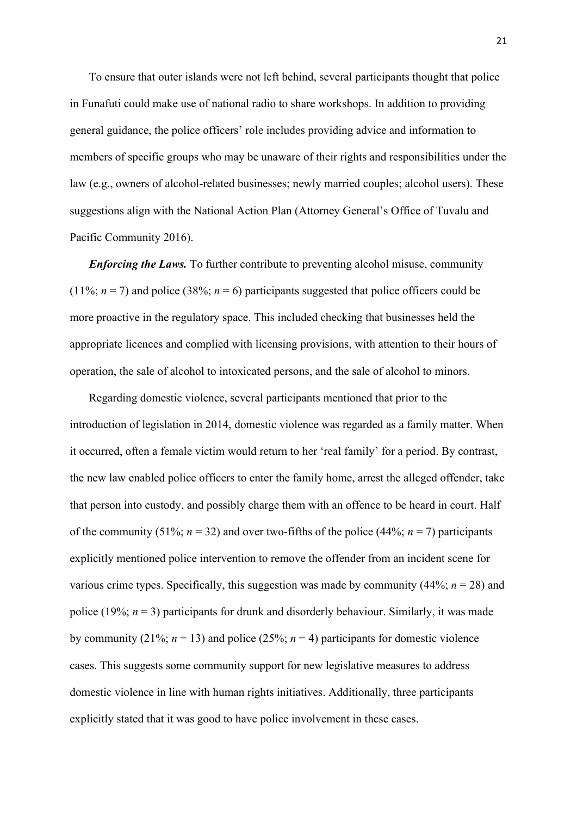To ensure that outer islands were not left behind, several participants thought that police in Funafuti could make use of national radio to share workshops. In addition to providing general guidance, the police officers' role includes providing advice and information to members of specific groups who may be unaware of their rights and responsibilities under the law (e.g., owners of alcohol-related businesses; newly married couples; alcohol users). These suggestions align with the National Action Plan (Attorney General's Office of Tuvalu and Pacific Community 2016).

*Enforcing the Laws.* To further contribute to preventing alcohol misuse, community (11%;  $n = 7$ ) and police (38%;  $n = 6$ ) participants suggested that police officers could be more proactive in the regulatory space. This included checking that businesses held the appropriate licences and complied with licensing provisions, with attention to their hours of operation, the sale of alcohol to intoxicated persons, and the sale of alcohol to minors.

Regarding domestic violence, several participants mentioned that prior to the introduction of legislation in 2014, domestic violence was regarded as a family matter. When it occurred, often a female victim would return to her 'real family' for a period. By contrast, the new law enabled police officers to enter the family home, arrest the alleged offender, take that person into custody, and possibly charge them with an offence to be heard in court. Half of the community (51%;  $n = 32$ ) and over two-fifths of the police (44%;  $n = 7$ ) participants explicitly mentioned police intervention to remove the offender from an incident scene for various crime types. Specifically, this suggestion was made by community  $(44\%; n = 28)$  and police (19%;  $n = 3$ ) participants for drunk and disorderly behaviour. Similarly, it was made by community (21%;  $n = 13$ ) and police (25%;  $n = 4$ ) participants for domestic violence cases. This suggests some community support for new legislative measures to address domestic violence in line with human rights initiatives. Additionally, three participants explicitly stated that it was good to have police involvement in these cases.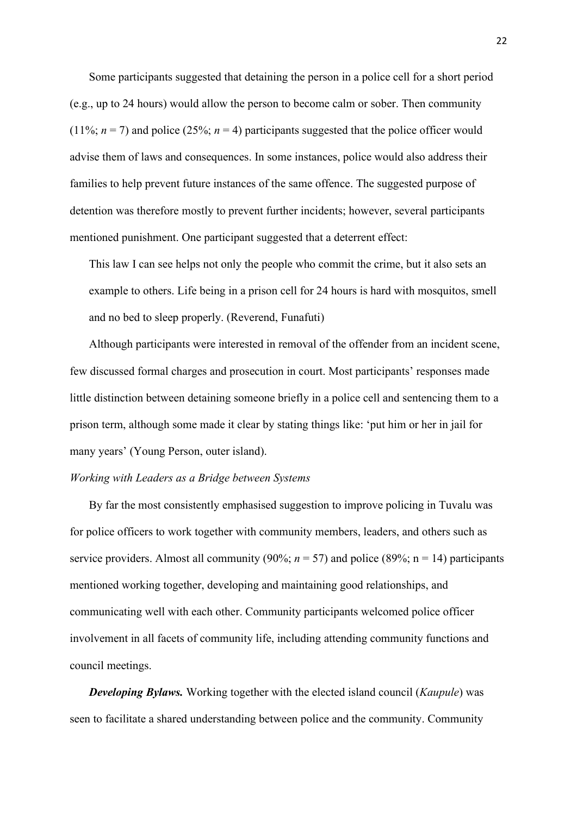Some participants suggested that detaining the person in a police cell for a short period (e.g., up to 24 hours) would allow the person to become calm or sober. Then community  $(11\%; n = 7)$  and police  $(25\%; n = 4)$  participants suggested that the police officer would advise them of laws and consequences. In some instances, police would also address their families to help prevent future instances of the same offence. The suggested purpose of detention was therefore mostly to prevent further incidents; however, several participants mentioned punishment. One participant suggested that a deterrent effect:

This law I can see helps not only the people who commit the crime, but it also sets an example to others. Life being in a prison cell for 24 hours is hard with mosquitos, smell and no bed to sleep properly. (Reverend, Funafuti)

Although participants were interested in removal of the offender from an incident scene, few discussed formal charges and prosecution in court. Most participants' responses made little distinction between detaining someone briefly in a police cell and sentencing them to a prison term, although some made it clear by stating things like: 'put him or her in jail for many years' (Young Person, outer island).

#### *Working with Leaders as a Bridge between Systems*

By far the most consistently emphasised suggestion to improve policing in Tuvalu was for police officers to work together with community members, leaders, and others such as service providers. Almost all community (90%;  $n = 57$ ) and police (89%;  $n = 14$ ) participants mentioned working together, developing and maintaining good relationships, and communicating well with each other. Community participants welcomed police officer involvement in all facets of community life, including attending community functions and council meetings.

*Developing Bylaws.* Working together with the elected island council (*Kaupule*) was seen to facilitate a shared understanding between police and the community. Community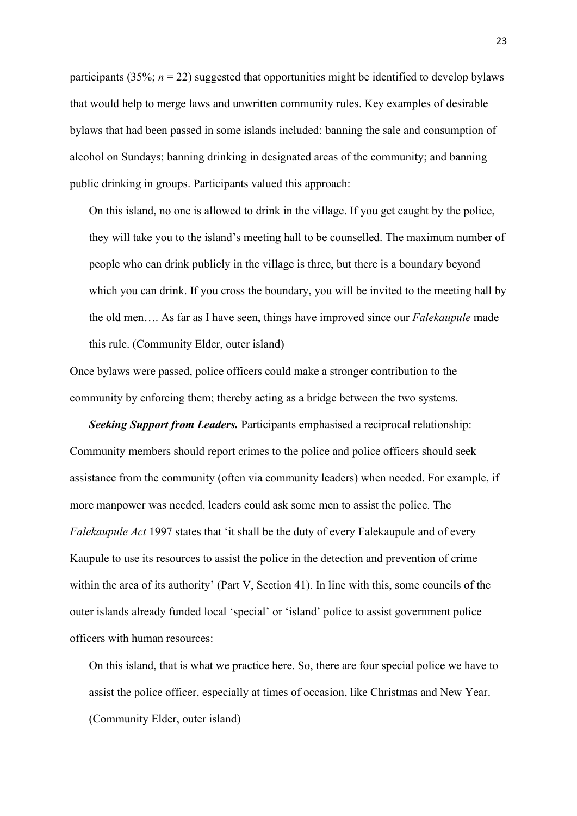participants (35%;  $n = 22$ ) suggested that opportunities might be identified to develop bylaws that would help to merge laws and unwritten community rules. Key examples of desirable bylaws that had been passed in some islands included: banning the sale and consumption of alcohol on Sundays; banning drinking in designated areas of the community; and banning public drinking in groups. Participants valued this approach:

On this island, no one is allowed to drink in the village. If you get caught by the police, they will take you to the island's meeting hall to be counselled. The maximum number of people who can drink publicly in the village is three, but there is a boundary beyond which you can drink. If you cross the boundary, you will be invited to the meeting hall by the old men…. As far as I have seen, things have improved since our *Falekaupule* made this rule. (Community Elder, outer island)

Once bylaws were passed, police officers could make a stronger contribution to the community by enforcing them; thereby acting as a bridge between the two systems.

*Seeking Support from Leaders.* Participants emphasised a reciprocal relationship: Community members should report crimes to the police and police officers should seek assistance from the community (often via community leaders) when needed. For example, if more manpower was needed, leaders could ask some men to assist the police. The *Falekaupule Act* 1997 states that 'it shall be the duty of every Falekaupule and of every Kaupule to use its resources to assist the police in the detection and prevention of crime within the area of its authority' (Part V, Section 41). In line with this, some councils of the outer islands already funded local 'special' or 'island' police to assist government police officers with human resources:

On this island, that is what we practice here. So, there are four special police we have to assist the police officer, especially at times of occasion, like Christmas and New Year. (Community Elder, outer island)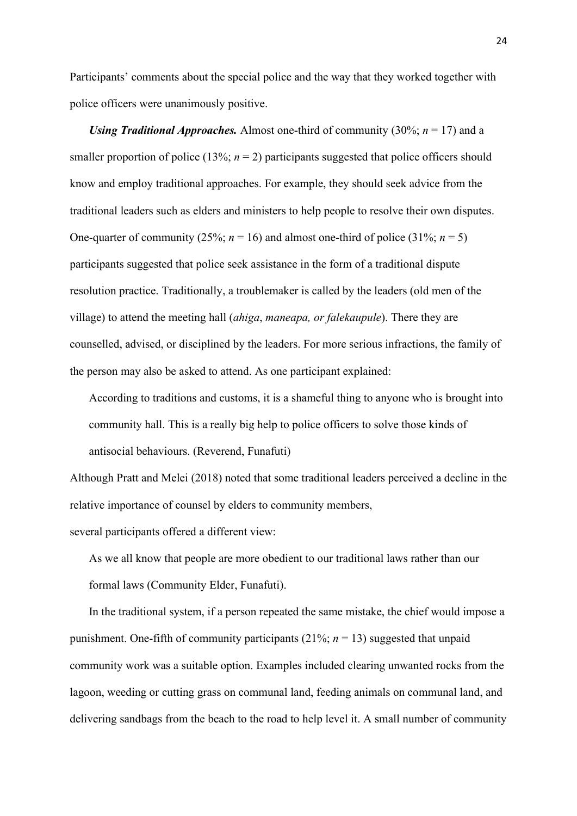Participants' comments about the special police and the way that they worked together with police officers were unanimously positive.

*Using Traditional Approaches.* Almost one-third of community (30%; *n* = 17) and a smaller proportion of police (13%;  $n = 2$ ) participants suggested that police officers should know and employ traditional approaches. For example, they should seek advice from the traditional leaders such as elders and ministers to help people to resolve their own disputes. One-quarter of community (25%;  $n = 16$ ) and almost one-third of police (31%;  $n = 5$ ) participants suggested that police seek assistance in the form of a traditional dispute resolution practice. Traditionally, a troublemaker is called by the leaders (old men of the village) to attend the meeting hall (*ahiga*, *maneapa, or falekaupule*). There they are counselled, advised, or disciplined by the leaders. For more serious infractions, the family of the person may also be asked to attend. As one participant explained:

According to traditions and customs, it is a shameful thing to anyone who is brought into community hall. This is a really big help to police officers to solve those kinds of antisocial behaviours. (Reverend, Funafuti)

Although Pratt and Melei (2018) noted that some traditional leaders perceived a decline in the relative importance of counsel by elders to community members,

several participants offered a different view:

As we all know that people are more obedient to our traditional laws rather than our formal laws (Community Elder, Funafuti).

In the traditional system, if a person repeated the same mistake, the chief would impose a punishment. One-fifth of community participants  $(21\%; n = 13)$  suggested that unpaid community work was a suitable option. Examples included clearing unwanted rocks from the lagoon, weeding or cutting grass on communal land, feeding animals on communal land, and delivering sandbags from the beach to the road to help level it. A small number of community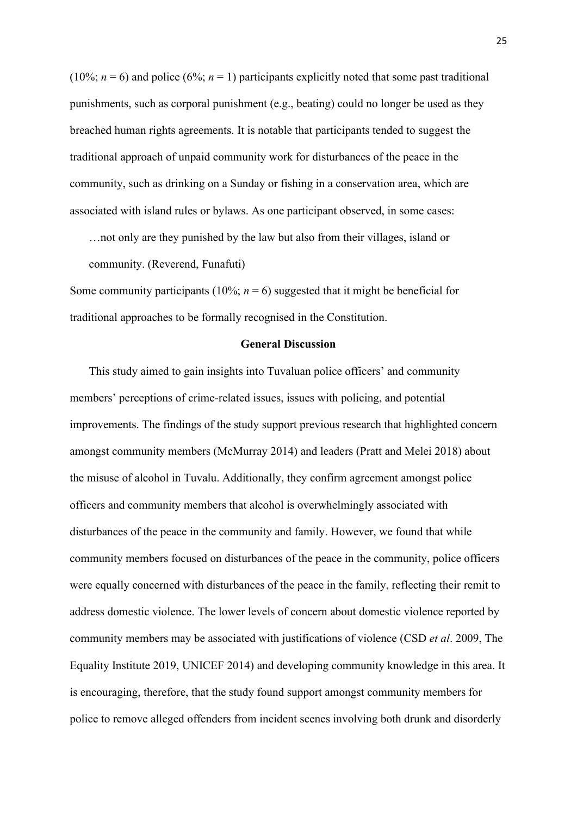(10%;  $n = 6$ ) and police (6%;  $n = 1$ ) participants explicitly noted that some past traditional punishments, such as corporal punishment (e.g., beating) could no longer be used as they breached human rights agreements. It is notable that participants tended to suggest the traditional approach of unpaid community work for disturbances of the peace in the community, such as drinking on a Sunday or fishing in a conservation area, which are associated with island rules or bylaws. As one participant observed, in some cases:

…not only are they punished by the law but also from their villages, island or community. (Reverend, Funafuti)

Some community participants (10%;  $n = 6$ ) suggested that it might be beneficial for traditional approaches to be formally recognised in the Constitution.

# **General Discussion**

This study aimed to gain insights into Tuvaluan police officers' and community members' perceptions of crime-related issues, issues with policing, and potential improvements. The findings of the study support previous research that highlighted concern amongst community members (McMurray 2014) and leaders (Pratt and Melei 2018) about the misuse of alcohol in Tuvalu. Additionally, they confirm agreement amongst police officers and community members that alcohol is overwhelmingly associated with disturbances of the peace in the community and family. However, we found that while community members focused on disturbances of the peace in the community, police officers were equally concerned with disturbances of the peace in the family, reflecting their remit to address domestic violence. The lower levels of concern about domestic violence reported by community members may be associated with justifications of violence (CSD *et al*. 2009, The Equality Institute 2019, UNICEF 2014) and developing community knowledge in this area. It is encouraging, therefore, that the study found support amongst community members for police to remove alleged offenders from incident scenes involving both drunk and disorderly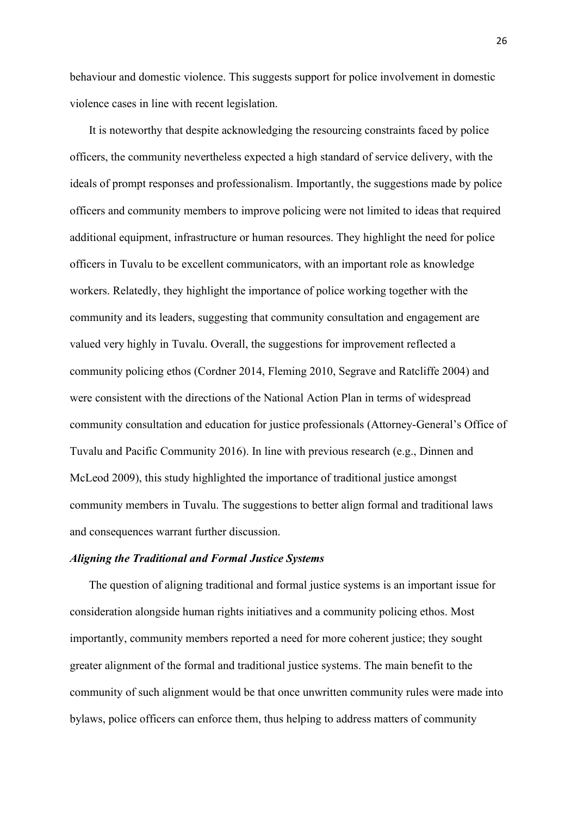behaviour and domestic violence. This suggests support for police involvement in domestic violence cases in line with recent legislation.

It is noteworthy that despite acknowledging the resourcing constraints faced by police officers, the community nevertheless expected a high standard of service delivery, with the ideals of prompt responses and professionalism. Importantly, the suggestions made by police officers and community members to improve policing were not limited to ideas that required additional equipment, infrastructure or human resources. They highlight the need for police officers in Tuvalu to be excellent communicators, with an important role as knowledge workers. Relatedly, they highlight the importance of police working together with the community and its leaders, suggesting that community consultation and engagement are valued very highly in Tuvalu. Overall, the suggestions for improvement reflected a community policing ethos (Cordner 2014, Fleming 2010, Segrave and Ratcliffe 2004) and were consistent with the directions of the National Action Plan in terms of widespread community consultation and education for justice professionals (Attorney-General's Office of Tuvalu and Pacific Community 2016). In line with previous research (e.g., Dinnen and McLeod 2009), this study highlighted the importance of traditional justice amongst community members in Tuvalu. The suggestions to better align formal and traditional laws and consequences warrant further discussion.

# *Aligning the Traditional and Formal Justice Systems*

The question of aligning traditional and formal justice systems is an important issue for consideration alongside human rights initiatives and a community policing ethos. Most importantly, community members reported a need for more coherent justice; they sought greater alignment of the formal and traditional justice systems. The main benefit to the community of such alignment would be that once unwritten community rules were made into bylaws, police officers can enforce them, thus helping to address matters of community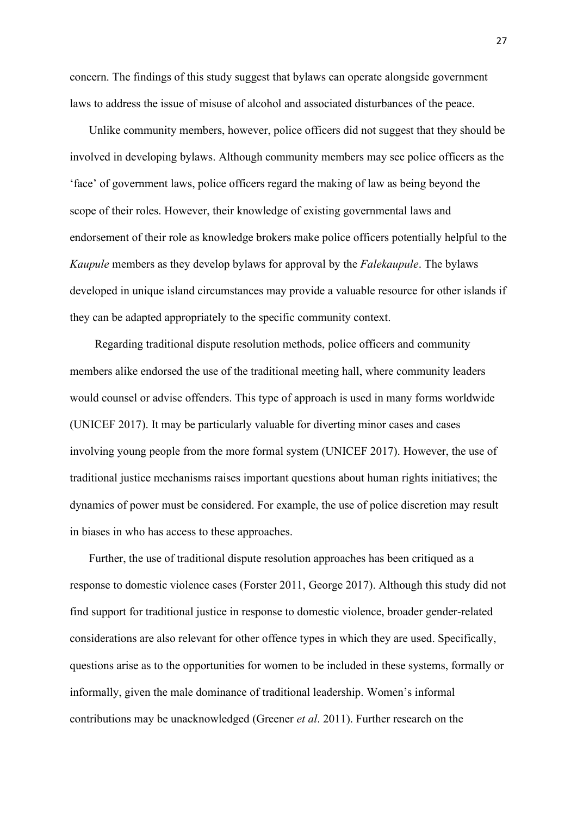concern. The findings of this study suggest that bylaws can operate alongside government laws to address the issue of misuse of alcohol and associated disturbances of the peace.

Unlike community members, however, police officers did not suggest that they should be involved in developing bylaws. Although community members may see police officers as the 'face' of government laws, police officers regard the making of law as being beyond the scope of their roles. However, their knowledge of existing governmental laws and endorsement of their role as knowledge brokers make police officers potentially helpful to the *Kaupule* members as they develop bylaws for approval by the *Falekaupule*. The bylaws developed in unique island circumstances may provide a valuable resource for other islands if they can be adapted appropriately to the specific community context.

Regarding traditional dispute resolution methods, police officers and community members alike endorsed the use of the traditional meeting hall, where community leaders would counsel or advise offenders. This type of approach is used in many forms worldwide (UNICEF 2017). It may be particularly valuable for diverting minor cases and cases involving young people from the more formal system (UNICEF 2017). However, the use of traditional justice mechanisms raises important questions about human rights initiatives; the dynamics of power must be considered. For example, the use of police discretion may result in biases in who has access to these approaches.

Further, the use of traditional dispute resolution approaches has been critiqued as a response to domestic violence cases (Forster 2011, George 2017). Although this study did not find support for traditional justice in response to domestic violence, broader gender-related considerations are also relevant for other offence types in which they are used. Specifically, questions arise as to the opportunities for women to be included in these systems, formally or informally, given the male dominance of traditional leadership. Women's informal contributions may be unacknowledged (Greener *et al*. 2011). Further research on the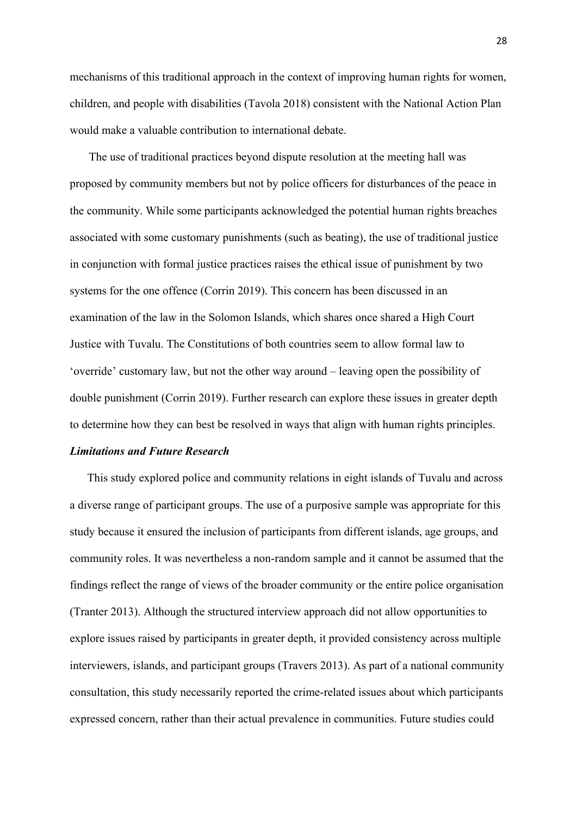mechanisms of this traditional approach in the context of improving human rights for women, children, and people with disabilities (Tavola 2018) consistent with the National Action Plan would make a valuable contribution to international debate.

The use of traditional practices beyond dispute resolution at the meeting hall was proposed by community members but not by police officers for disturbances of the peace in the community. While some participants acknowledged the potential human rights breaches associated with some customary punishments (such as beating), the use of traditional justice in conjunction with formal justice practices raises the ethical issue of punishment by two systems for the one offence (Corrin 2019). This concern has been discussed in an examination of the law in the Solomon Islands, which shares once shared a High Court Justice with Tuvalu. The Constitutions of both countries seem to allow formal law to 'override' customary law, but not the other way around – leaving open the possibility of double punishment (Corrin 2019). Further research can explore these issues in greater depth to determine how they can best be resolved in ways that align with human rights principles.

# *Limitations and Future Research*

This study explored police and community relations in eight islands of Tuvalu and across a diverse range of participant groups. The use of a purposive sample was appropriate for this study because it ensured the inclusion of participants from different islands, age groups, and community roles. It was nevertheless a non-random sample and it cannot be assumed that the findings reflect the range of views of the broader community or the entire police organisation (Tranter 2013). Although the structured interview approach did not allow opportunities to explore issues raised by participants in greater depth, it provided consistency across multiple interviewers, islands, and participant groups (Travers 2013). As part of a national community consultation, this study necessarily reported the crime-related issues about which participants expressed concern, rather than their actual prevalence in communities. Future studies could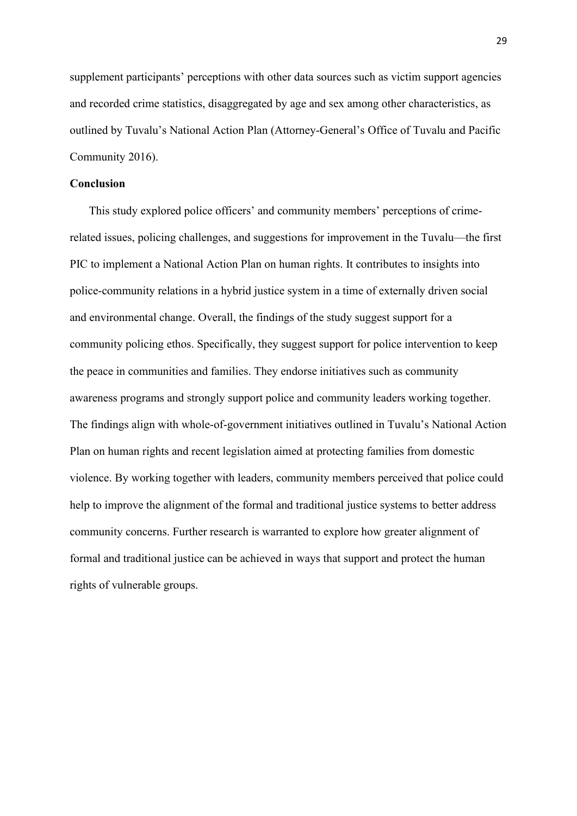supplement participants' perceptions with other data sources such as victim support agencies and recorded crime statistics, disaggregated by age and sex among other characteristics, as outlined by Tuvalu's National Action Plan (Attorney-General's Office of Tuvalu and Pacific Community 2016).

# **Conclusion**

This study explored police officers' and community members' perceptions of crimerelated issues, policing challenges, and suggestions for improvement in the Tuvalu—the first PIC to implement a National Action Plan on human rights. It contributes to insights into police-community relations in a hybrid justice system in a time of externally driven social and environmental change. Overall, the findings of the study suggest support for a community policing ethos. Specifically, they suggest support for police intervention to keep the peace in communities and families. They endorse initiatives such as community awareness programs and strongly support police and community leaders working together. The findings align with whole-of-government initiatives outlined in Tuvalu's National Action Plan on human rights and recent legislation aimed at protecting families from domestic violence. By working together with leaders, community members perceived that police could help to improve the alignment of the formal and traditional justice systems to better address community concerns. Further research is warranted to explore how greater alignment of formal and traditional justice can be achieved in ways that support and protect the human rights of vulnerable groups.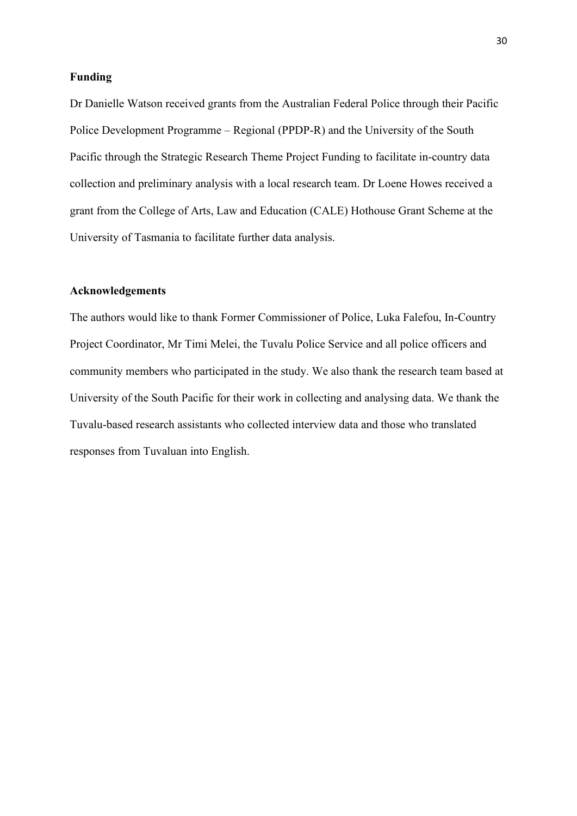# **Funding**

Dr Danielle Watson received grants from the Australian Federal Police through their Pacific Police Development Programme – Regional (PPDP-R) and the University of the South Pacific through the Strategic Research Theme Project Funding to facilitate in-country data collection and preliminary analysis with a local research team. Dr Loene Howes received a grant from the College of Arts, Law and Education (CALE) Hothouse Grant Scheme at the University of Tasmania to facilitate further data analysis.

# **Acknowledgements**

The authors would like to thank Former Commissioner of Police, Luka Falefou, In-Country Project Coordinator, Mr Timi Melei, the Tuvalu Police Service and all police officers and community members who participated in the study. We also thank the research team based at University of the South Pacific for their work in collecting and analysing data. We thank the Tuvalu-based research assistants who collected interview data and those who translated responses from Tuvaluan into English.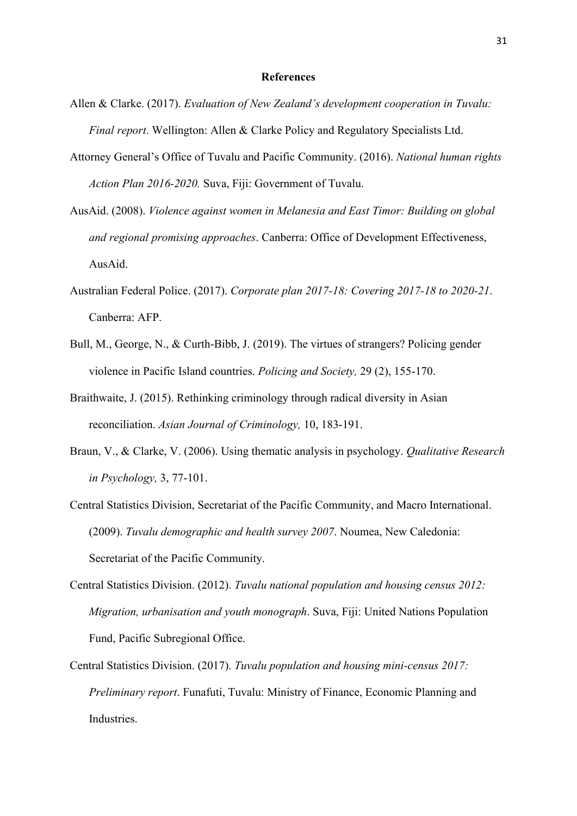#### **References**

- Allen & Clarke. (2017). *Evaluation of New Zealand's development cooperation in Tuvalu: Final report*. Wellington: Allen & Clarke Policy and Regulatory Specialists Ltd.
- Attorney General's Office of Tuvalu and Pacific Community. (2016). *National human rights Action Plan 2016-2020.* Suva, Fiji: Government of Tuvalu.
- AusAid. (2008). *Violence against women in Melanesia and East Timor: Building on global and regional promising approaches*. Canberra: Office of Development Effectiveness, AusAid.
- Australian Federal Police. (2017). *Corporate plan 2017-18: Covering 2017-18 to 2020-21*. Canberra: AFP.
- Bull, M., George, N., & Curth-Bibb, J. (2019). The virtues of strangers? Policing gender violence in Pacific Island countries. *Policing and Society,* 29 (2), 155-170.
- Braithwaite, J. (2015). Rethinking criminology through radical diversity in Asian reconciliation. *Asian Journal of Criminology,* 10, 183-191.
- Braun, V., & Clarke, V. (2006). Using thematic analysis in psychology. *Qualitative Research in Psychology,* 3, 77-101.
- Central Statistics Division, Secretariat of the Pacific Community, and Macro International. (2009). *Tuvalu demographic and health survey 2007*. Noumea, New Caledonia: Secretariat of the Pacific Community.
- Central Statistics Division. (2012). *Tuvalu national population and housing census 2012: Migration, urbanisation and youth monograph*. Suva, Fiji: United Nations Population Fund, Pacific Subregional Office.
- Central Statistics Division. (2017). *Tuvalu population and housing mini-census 2017: Preliminary report*. Funafuti, Tuvalu: Ministry of Finance, Economic Planning and Industries.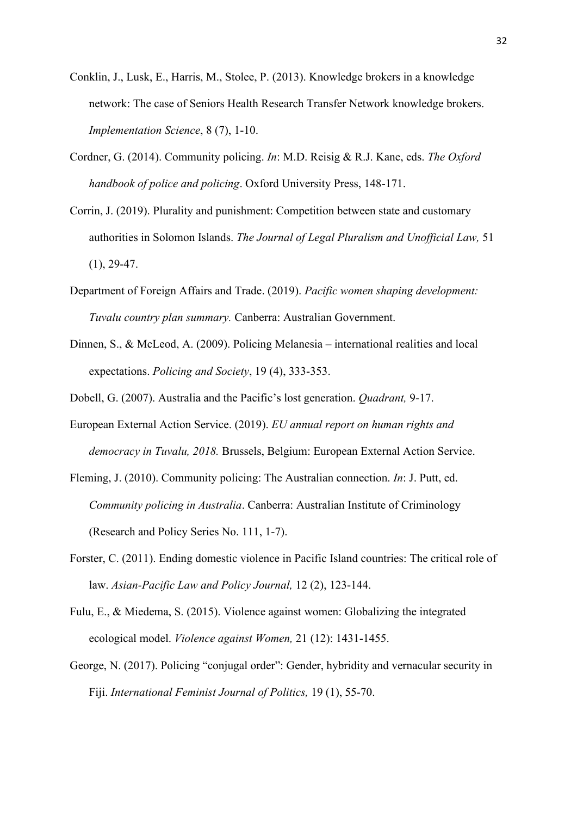- Conklin, J., Lusk, E., Harris, M., Stolee, P. (2013). Knowledge brokers in a knowledge network: The case of Seniors Health Research Transfer Network knowledge brokers. *Implementation Science*, 8 (7), 1-10.
- Cordner, G. (2014). Community policing. *In*: M.D. Reisig & R.J. Kane, eds. *The Oxford handbook of police and policing*. Oxford University Press, 148-171.
- Corrin, J. (2019). Plurality and punishment: Competition between state and customary authorities in Solomon Islands. *The Journal of Legal Pluralism and Unofficial Law,* 51 (1), 29-47.
- Department of Foreign Affairs and Trade. (2019). *Pacific women shaping development: Tuvalu country plan summary.* Canberra: Australian Government.
- Dinnen, S., & McLeod, A. (2009). Policing Melanesia international realities and local expectations. *Policing and Society*, 19 (4), 333-353.
- Dobell, G. (2007). Australia and the Pacific's lost generation. *Quadrant,* 9-17.
- European External Action Service. (2019). *EU annual report on human rights and democracy in Tuvalu, 2018.* Brussels, Belgium: European External Action Service.
- Fleming, J. (2010). Community policing: The Australian connection. *In*: J. Putt, ed. *Community policing in Australia*. Canberra: Australian Institute of Criminology (Research and Policy Series No. 111, 1-7).
- Forster, C. (2011). Ending domestic violence in Pacific Island countries: The critical role of law. *Asian-Pacific Law and Policy Journal,* 12 (2), 123-144.
- Fulu, E., & Miedema, S. (2015). Violence against women: Globalizing the integrated ecological model. *Violence against Women,* 21 (12): 1431-1455.
- George, N. (2017). Policing "conjugal order": Gender, hybridity and vernacular security in Fiji. *International Feminist Journal of Politics,* 19 (1), 55-70.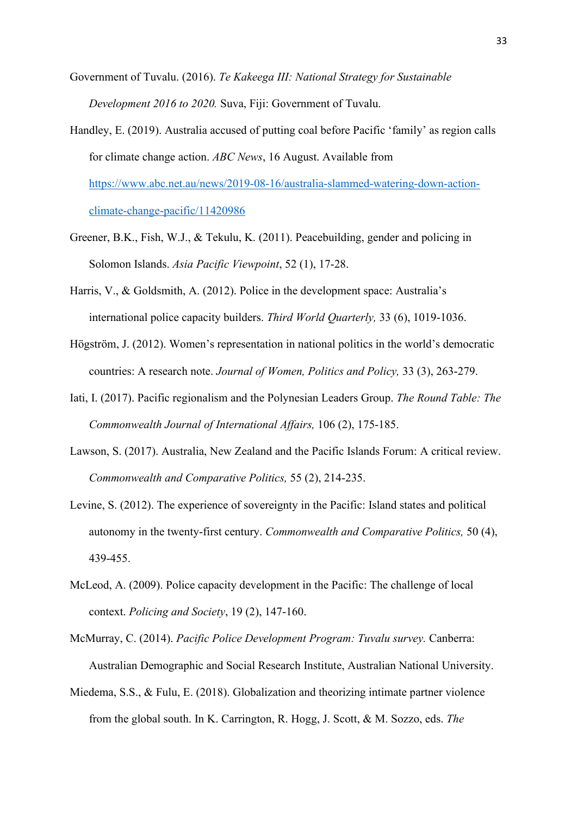Government of Tuvalu. (2016). *Te Kakeega III: National Strategy for Sustainable Development 2016 to 2020.* Suva, Fiji: Government of Tuvalu.

- Handley, E. (2019). Australia accused of putting coal before Pacific 'family' as region calls for climate change action. *ABC News*, 16 August. Available from [https://www.abc.net.au/news/2019-08-16/australia-slammed-watering-down-action](https://www.abc.net.au/news/2019-08-16/australia-slammed-watering-down-action-climate-change-pacific/11420986)[climate-change-pacific/11420986](https://www.abc.net.au/news/2019-08-16/australia-slammed-watering-down-action-climate-change-pacific/11420986)
- Greener, B.K., Fish, W.J., & Tekulu, K. (2011). Peacebuilding, gender and policing in Solomon Islands. *Asia Pacific Viewpoint*, 52 (1), 17-28.
- Harris, V., & Goldsmith, A. (2012). Police in the development space: Australia's international police capacity builders. *Third World Quarterly,* 33 (6), 1019-1036.
- Högström, J. (2012). Women's representation in national politics in the world's democratic countries: A research note. *Journal of Women, Politics and Policy,* 33 (3), 263-279.
- Iati, I. (2017). Pacific regionalism and the Polynesian Leaders Group. *The Round Table: The Commonwealth Journal of International Affairs,* 106 (2), 175-185.
- Lawson, S. (2017). Australia, New Zealand and the Pacific Islands Forum: A critical review. *Commonwealth and Comparative Politics,* 55 (2), 214-235.
- Levine, S. (2012). The experience of sovereignty in the Pacific: Island states and political autonomy in the twenty-first century. *Commonwealth and Comparative Politics,* 50 (4), 439-455.
- McLeod, A. (2009). Police capacity development in the Pacific: The challenge of local context. *Policing and Society*, 19 (2), 147-160.
- McMurray, C. (2014). *Pacific Police Development Program: Tuvalu survey.* Canberra: Australian Demographic and Social Research Institute, Australian National University.
- Miedema, S.S., & Fulu, E. (2018). Globalization and theorizing intimate partner violence from the global south. In K. Carrington, R. Hogg, J. Scott, & M. Sozzo, eds. *The*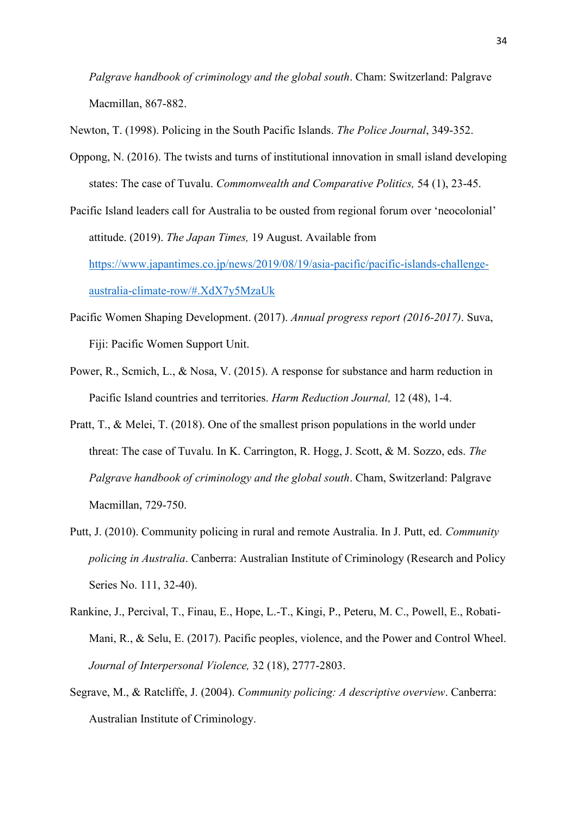*Palgrave handbook of criminology and the global south*. Cham: Switzerland: Palgrave Macmillan, 867-882.

Newton, T. (1998). Policing in the South Pacific Islands. *The Police Journal*, 349-352.

Oppong, N. (2016). The twists and turns of institutional innovation in small island developing states: The case of Tuvalu. *Commonwealth and Comparative Politics,* 54 (1), 23-45.

Pacific Island leaders call for Australia to be ousted from regional forum over 'neocolonial' attitude. (2019). *The Japan Times,* 19 August. Available from [https://www.japantimes.co.jp/news/2019/08/19/asia-pacific/pacific-islands-challenge](https://www.japantimes.co.jp/news/2019/08/19/asia-pacific/pacific-islands-challenge-australia-climate-row/#.XdX7y5MzaUk)[australia-climate-row/#.XdX7y5MzaUk](https://www.japantimes.co.jp/news/2019/08/19/asia-pacific/pacific-islands-challenge-australia-climate-row/#.XdX7y5MzaUk)

- Pacific Women Shaping Development. (2017). *Annual progress report (2016-2017)*. Suva, Fiji: Pacific Women Support Unit.
- Power, R., Scmich, L., & Nosa, V. (2015). A response for substance and harm reduction in Pacific Island countries and territories. *Harm Reduction Journal,* 12 (48), 1-4.
- Pratt, T., & Melei, T. (2018). One of the smallest prison populations in the world under threat: The case of Tuvalu. In K. Carrington, R. Hogg, J. Scott, & M. Sozzo, eds. *The Palgrave handbook of criminology and the global south*. Cham, Switzerland: Palgrave Macmillan, 729-750.
- Putt, J. (2010). Community policing in rural and remote Australia. In J. Putt, ed. *Community policing in Australia*. Canberra: Australian Institute of Criminology (Research and Policy Series No. 111, 32-40).
- Rankine, J., Percival, T., Finau, E., Hope, L.-T., Kingi, P., Peteru, M. C., Powell, E., Robati-Mani, R., & Selu, E. (2017). Pacific peoples, violence, and the Power and Control Wheel. *Journal of Interpersonal Violence,* 32 (18), 2777-2803.
- Segrave, M., & Ratcliffe, J. (2004). *Community policing: A descriptive overview*. Canberra: Australian Institute of Criminology.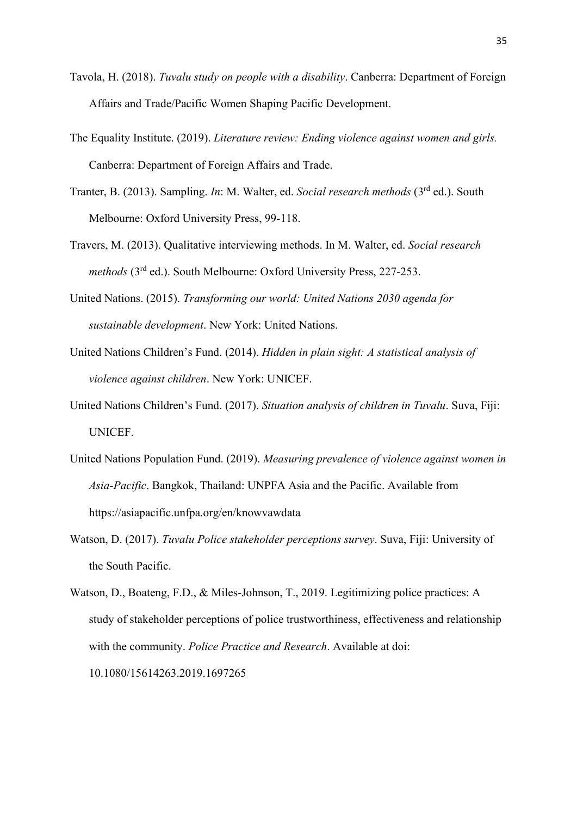- Tavola, H. (2018). *Tuvalu study on people with a disability*. Canberra: Department of Foreign Affairs and Trade/Pacific Women Shaping Pacific Development.
- The Equality Institute. (2019). *Literature review: Ending violence against women and girls.* Canberra: Department of Foreign Affairs and Trade.
- Tranter, B. (2013). Sampling. *In*: M. Walter, ed. *Social research methods* (3rd ed.). South Melbourne: Oxford University Press, 99-118.
- Travers, M. (2013). Qualitative interviewing methods. In M. Walter, ed. *Social research methods* (3rd ed.). South Melbourne: Oxford University Press, 227-253.
- United Nations. (2015). *Transforming our world: United Nations 2030 agenda for sustainable development*. New York: United Nations.
- United Nations Children's Fund. (2014). *Hidden in plain sight: A statistical analysis of violence against children*. New York: UNICEF.
- United Nations Children's Fund. (2017). *Situation analysis of children in Tuvalu*. Suva, Fiji: UNICEF.
- United Nations Population Fund. (2019). *Measuring prevalence of violence against women in Asia-Pacific*. Bangkok, Thailand: UNPFA Asia and the Pacific. Available from https://asiapacific.unfpa.org/en/knowvawdata
- Watson, D. (2017). *Tuvalu Police stakeholder perceptions survey*. Suva, Fiji: University of the South Pacific.

Watson, D., Boateng, F.D., & Miles-Johnson, T., 2019. Legitimizing police practices: A study of stakeholder perceptions of police trustworthiness, effectiveness and relationship with the community. *Police Practice and Research*. Available at doi: 10.1080/15614263.2019.1697265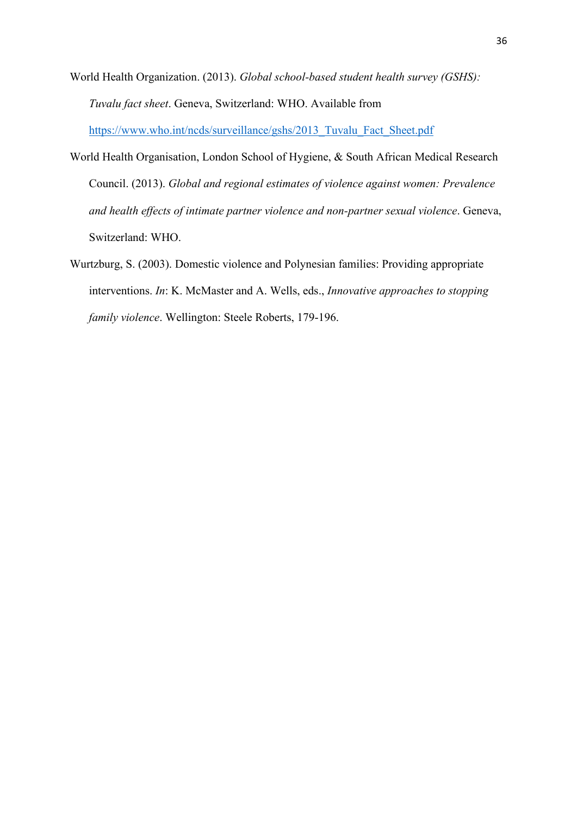- World Health Organization. (2013). *Global school-based student health survey (GSHS): Tuvalu fact sheet*. Geneva, Switzerland: WHO. Available from [https://www.who.int/ncds/surveillance/gshs/2013\\_Tuvalu\\_Fact\\_Sheet.pdf](https://www.who.int/ncds/surveillance/gshs/2013_Tuvalu_Fact_Sheet.pdf)
- World Health Organisation, London School of Hygiene, & South African Medical Research Council. (2013). *Global and regional estimates of violence against women: Prevalence and health effects of intimate partner violence and non-partner sexual violence*. Geneva, Switzerland: WHO.
- Wurtzburg, S. (2003). Domestic violence and Polynesian families: Providing appropriate interventions. *In*: K. McMaster and A. Wells, eds., *Innovative approaches to stopping family violence*. Wellington: Steele Roberts, 179-196.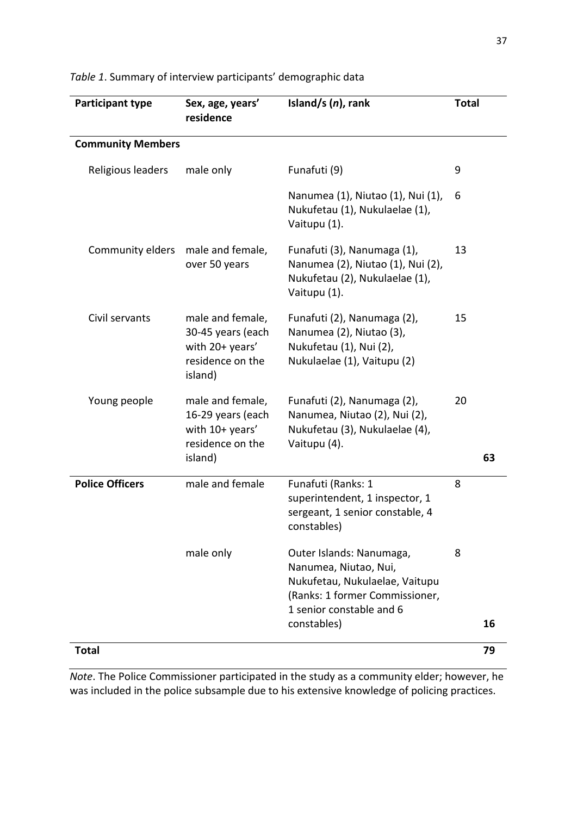| Participant type         | Sex, age, years'<br>residence                                                           | Island/s $(n)$ , rank                                                                                                                             |    | <b>Total</b> |  |
|--------------------------|-----------------------------------------------------------------------------------------|---------------------------------------------------------------------------------------------------------------------------------------------------|----|--------------|--|
| <b>Community Members</b> |                                                                                         |                                                                                                                                                   |    |              |  |
| Religious leaders        | male only                                                                               | Funafuti (9)                                                                                                                                      | 9  |              |  |
|                          |                                                                                         | Nanumea (1), Niutao (1), Nui (1),<br>Nukufetau (1), Nukulaelae (1),<br>Vaitupu (1).                                                               | 6  |              |  |
| Community elders         | male and female,<br>over 50 years                                                       | Funafuti (3), Nanumaga (1),<br>Nanumea (2), Niutao (1), Nui (2),<br>Nukufetau (2), Nukulaelae (1),<br>Vaitupu (1).                                | 13 |              |  |
| Civil servants           | male and female,<br>30-45 years (each<br>with 20+ years'<br>residence on the<br>island) | Funafuti (2), Nanumaga (2),<br>Nanumea (2), Niutao (3),<br>Nukufetau (1), Nui (2),<br>Nukulaelae (1), Vaitupu (2)                                 | 15 |              |  |
| Young people             | male and female,<br>16-29 years (each<br>with 10+ years'<br>residence on the<br>island) | Funafuti (2), Nanumaga (2),<br>Nanumea, Niutao (2), Nui (2),<br>Nukufetau (3), Nukulaelae (4),<br>Vaitupu (4).                                    | 20 | 63           |  |
| <b>Police Officers</b>   | male and female                                                                         | Funafuti (Ranks: 1<br>superintendent, 1 inspector, 1<br>sergeant, 1 senior constable, 4<br>constables)                                            | 8  |              |  |
|                          | male only                                                                               | Outer Islands: Nanumaga,<br>Nanumea, Niutao, Nui,<br>Nukufetau, Nukulaelae, Vaitupu<br>(Ranks: 1 former Commissioner,<br>1 senior constable and 6 | 8  |              |  |
|                          |                                                                                         | constables)                                                                                                                                       |    | 16           |  |
| <b>Total</b>             |                                                                                         |                                                                                                                                                   |    | 79           |  |

*Table 1*. Summary of interview participants' demographic data

*Note*. The Police Commissioner participated in the study as a community elder; however, he was included in the police subsample due to his extensive knowledge of policing practices.